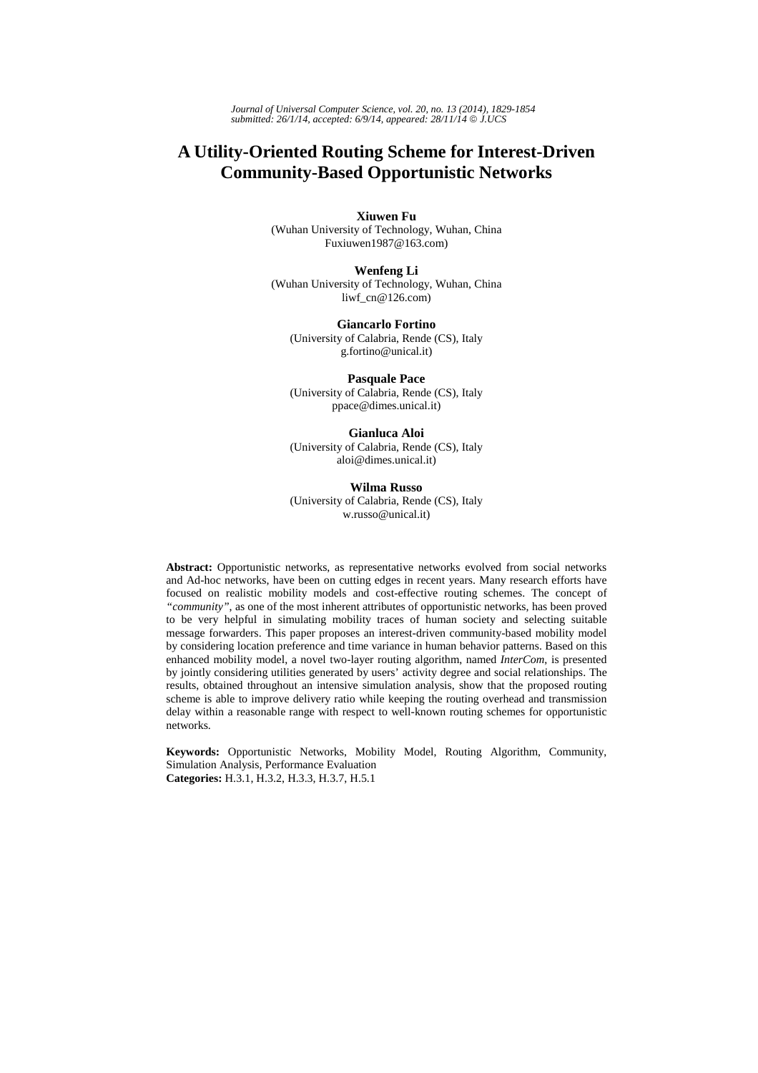*Journal of Universal Computer Science, vol. 20, no. 13 (2014), 1829-1854 submitted: 26/1/14, accepted: 6/9/14, appeared: 28/11/14* © *J.UCS*

# **A Utility-Oriented Routing Scheme for Interest-Driven Community-Based Opportunistic Networks**

**Xiuwen Fu** (Wuhan University of Technology, Wuhan, China

Fuxiuwen1987@163.com)

**Wenfeng Li**  (Wuhan University of Technology, Wuhan, China liwf  $cn@126.com$ 

**Giancarlo Fortino** (University of Calabria, Rende (CS), Italy g.fortino@unical.it)

**Pasquale Pace**  (University of Calabria, Rende (CS), Italy ppace@dimes.unical.it)

**Gianluca Aloi**  (University of Calabria, Rende (CS), Italy aloi@dimes.unical.it)

**Wilma Russo** (University of Calabria, Rende (CS), Italy w.russo@unical.it)

**Abstract:** Opportunistic networks, as representative networks evolved from social networks and Ad-hoc networks, have been on cutting edges in recent years. Many research efforts have focused on realistic mobility models and cost-effective routing schemes. The concept of *"community"*, as one of the most inherent attributes of opportunistic networks, has been proved to be very helpful in simulating mobility traces of human society and selecting suitable message forwarders. This paper proposes an interest-driven community-based mobility model by considering location preference and time variance in human behavior patterns. Based on this enhanced mobility model, a novel two-layer routing algorithm, named *InterCom*, is presented by jointly considering utilities generated by users' activity degree and social relationships. The results, obtained throughout an intensive simulation analysis, show that the proposed routing scheme is able to improve delivery ratio while keeping the routing overhead and transmission delay within a reasonable range with respect to well-known routing schemes for opportunistic networks.

**Keywords:** Opportunistic Networks, Mobility Model, Routing Algorithm, Community, Simulation Analysis, Performance Evaluation **Categories:** H.3.1, H.3.2, H.3.3, H.3.7, H.5.1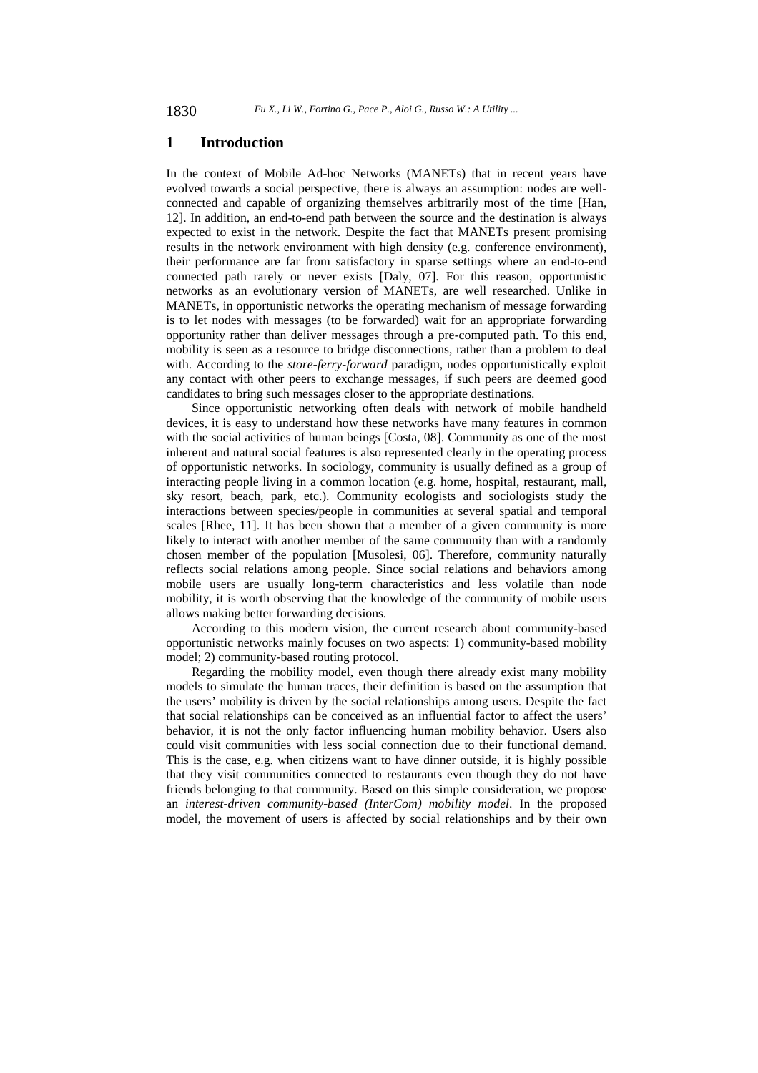# **1 Introduction**

In the context of Mobile Ad-hoc Networks (MANETs) that in recent years have evolved towards a social perspective, there is always an assumption: nodes are wellconnected and capable of organizing themselves arbitrarily most of the time [Han, 12]. In addition, an end-to-end path between the source and the destination is always expected to exist in the network. Despite the fact that MANETs present promising results in the network environment with high density (e.g. conference environment), their performance are far from satisfactory in sparse settings where an end-to-end connected path rarely or never exists [Daly, 07]. For this reason, opportunistic networks as an evolutionary version of MANETs, are well researched. Unlike in MANETs, in opportunistic networks the operating mechanism of message forwarding is to let nodes with messages (to be forwarded) wait for an appropriate forwarding opportunity rather than deliver messages through a pre-computed path. To this end, mobility is seen as a resource to bridge disconnections, rather than a problem to deal with. According to the *store-ferry-forward* paradigm, nodes opportunistically exploit any contact with other peers to exchange messages, if such peers are deemed good candidates to bring such messages closer to the appropriate destinations.

Since opportunistic networking often deals with network of mobile handheld devices, it is easy to understand how these networks have many features in common with the social activities of human beings [Costa, 08]. Community as one of the most inherent and natural social features is also represented clearly in the operating process of opportunistic networks. In sociology, community is usually defined as a group of interacting people living in a common location (e.g. home, hospital, restaurant, mall, sky resort, beach, park, etc.). Community ecologists and sociologists study the interactions between species/people in communities at several spatial and temporal scales [Rhee, 11]. It has been shown that a member of a given community is more likely to interact with another member of the same community than with a randomly chosen member of the population [Musolesi, 06]. Therefore, community naturally reflects social relations among people. Since social relations and behaviors among mobile users are usually long-term characteristics and less volatile than node mobility, it is worth observing that the knowledge of the community of mobile users allows making better forwarding decisions.

According to this modern vision, the current research about community-based opportunistic networks mainly focuses on two aspects: 1) community-based mobility model; 2) community-based routing protocol.

Regarding the mobility model, even though there already exist many mobility models to simulate the human traces, their definition is based on the assumption that the users' mobility is driven by the social relationships among users. Despite the fact that social relationships can be conceived as an influential factor to affect the users' behavior, it is not the only factor influencing human mobility behavior. Users also could visit communities with less social connection due to their functional demand. This is the case, e.g. when citizens want to have dinner outside, it is highly possible that they visit communities connected to restaurants even though they do not have friends belonging to that community. Based on this simple consideration, we propose an *interest-driven community-based (InterCom) mobility model*. In the proposed model, the movement of users is affected by social relationships and by their own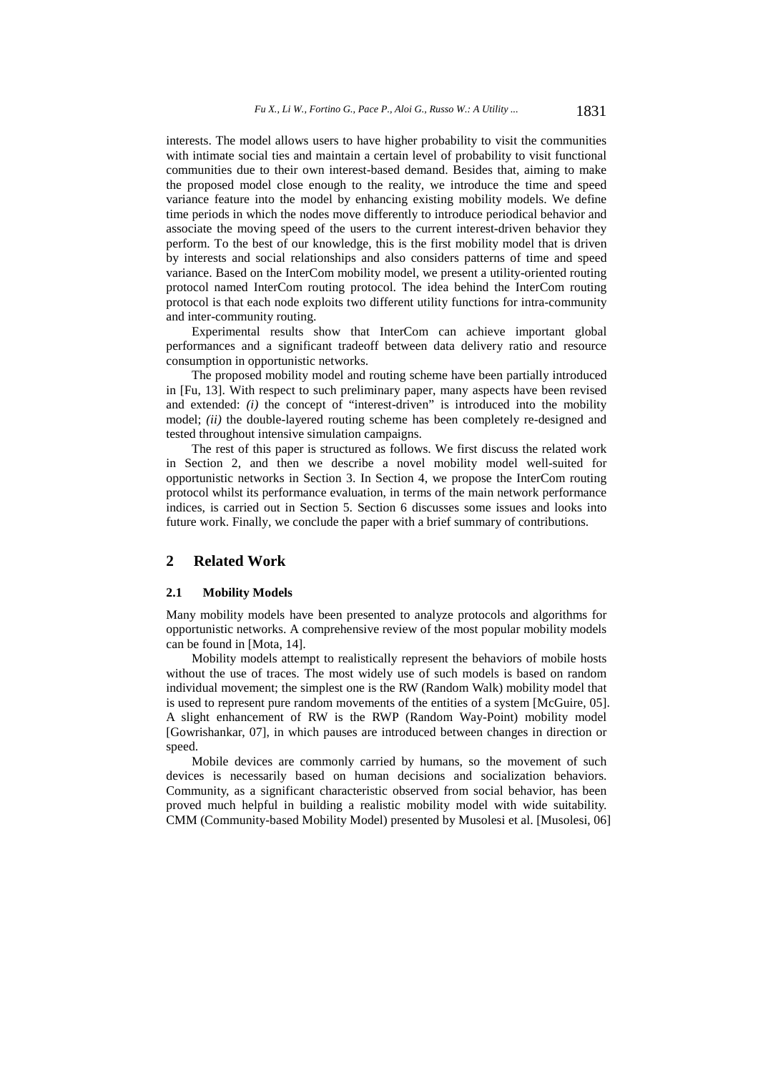interests. The model allows users to have higher probability to visit the communities with intimate social ties and maintain a certain level of probability to visit functional communities due to their own interest-based demand. Besides that, aiming to make the proposed model close enough to the reality, we introduce the time and speed variance feature into the model by enhancing existing mobility models. We define time periods in which the nodes move differently to introduce periodical behavior and associate the moving speed of the users to the current interest-driven behavior they perform. To the best of our knowledge, this is the first mobility model that is driven by interests and social relationships and also considers patterns of time and speed variance. Based on the InterCom mobility model, we present a utility-oriented routing protocol named InterCom routing protocol. The idea behind the InterCom routing protocol is that each node exploits two different utility functions for intra-community and inter-community routing.

Experimental results show that InterCom can achieve important global performances and a significant tradeoff between data delivery ratio and resource consumption in opportunistic networks.

The proposed mobility model and routing scheme have been partially introduced in [Fu, 13]. With respect to such preliminary paper, many aspects have been revised and extended: *(i)* the concept of "interest-driven" is introduced into the mobility model; *(ii)* the double-layered routing scheme has been completely re-designed and tested throughout intensive simulation campaigns.

The rest of this paper is structured as follows. We first discuss the related work in Section 2, and then we describe a novel mobility model well-suited for opportunistic networks in Section 3. In Section 4, we propose the InterCom routing protocol whilst its performance evaluation, in terms of the main network performance indices, is carried out in Section 5. Section 6 discusses some issues and looks into future work. Finally, we conclude the paper with a brief summary of contributions.

# **2 Related Work**

#### **2.1 Mobility Models**

Many mobility models have been presented to analyze protocols and algorithms for opportunistic networks. A comprehensive review of the most popular mobility models can be found in [Mota, 14].

Mobility models attempt to realistically represent the behaviors of mobile hosts without the use of traces. The most widely use of such models is based on random individual movement; the simplest one is the RW (Random Walk) mobility model that is used to represent pure random movements of the entities of a system [McGuire, 05]. A slight enhancement of RW is the RWP (Random Way-Point) mobility model [Gowrishankar, 07], in which pauses are introduced between changes in direction or speed.

Mobile devices are commonly carried by humans, so the movement of such devices is necessarily based on human decisions and socialization behaviors. Community, as a significant characteristic observed from social behavior, has been proved much helpful in building a realistic mobility model with wide suitability. CMM (Community-based Mobility Model) presented by Musolesi et al. [Musolesi, 06]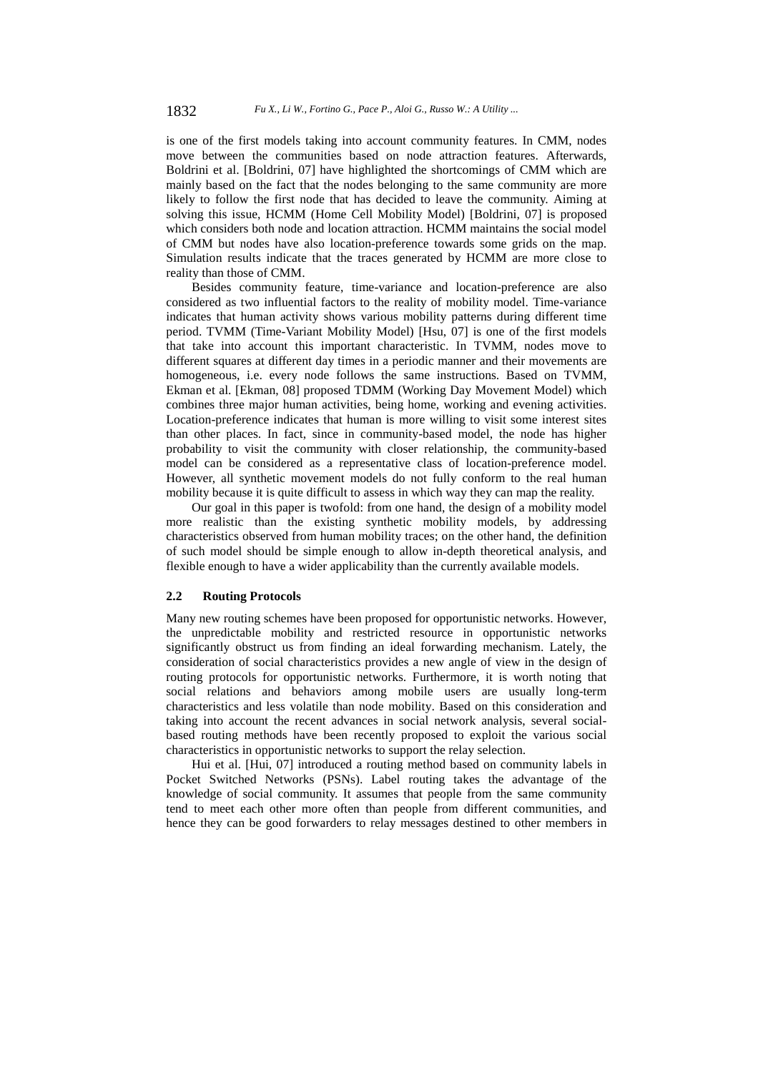is one of the first models taking into account community features. In CMM, nodes move between the communities based on node attraction features. Afterwards, Boldrini et al. [Boldrini, 07] have highlighted the shortcomings of CMM which are mainly based on the fact that the nodes belonging to the same community are more likely to follow the first node that has decided to leave the community. Aiming at solving this issue, HCMM (Home Cell Mobility Model) [Boldrini, 07] is proposed which considers both node and location attraction. HCMM maintains the social model of CMM but nodes have also location-preference towards some grids on the map. Simulation results indicate that the traces generated by HCMM are more close to reality than those of CMM.

Besides community feature, time-variance and location-preference are also considered as two influential factors to the reality of mobility model. Time-variance indicates that human activity shows various mobility patterns during different time period. TVMM (Time-Variant Mobility Model) [Hsu, 07] is one of the first models that take into account this important characteristic. In TVMM, nodes move to different squares at different day times in a periodic manner and their movements are homogeneous, i.e. every node follows the same instructions. Based on TVMM, Ekman et al. [Ekman, 08] proposed TDMM (Working Day Movement Model) which combines three major human activities, being home, working and evening activities. Location-preference indicates that human is more willing to visit some interest sites than other places. In fact, since in community-based model, the node has higher probability to visit the community with closer relationship, the community-based model can be considered as a representative class of location-preference model. However, all synthetic movement models do not fully conform to the real human mobility because it is quite difficult to assess in which way they can map the reality.

Our goal in this paper is twofold: from one hand, the design of a mobility model more realistic than the existing synthetic mobility models, by addressing characteristics observed from human mobility traces; on the other hand, the definition of such model should be simple enough to allow in-depth theoretical analysis, and flexible enough to have a wider applicability than the currently available models.

#### **2.2 Routing Protocols**

Many new routing schemes have been proposed for opportunistic networks. However, the unpredictable mobility and restricted resource in opportunistic networks significantly obstruct us from finding an ideal forwarding mechanism. Lately, the consideration of social characteristics provides a new angle of view in the design of routing protocols for opportunistic networks. Furthermore, it is worth noting that social relations and behaviors among mobile users are usually long-term characteristics and less volatile than node mobility. Based on this consideration and taking into account the recent advances in social network analysis, several socialbased routing methods have been recently proposed to exploit the various social characteristics in opportunistic networks to support the relay selection.

Hui et al. [Hui, 07] introduced a routing method based on community labels in Pocket Switched Networks (PSNs). Label routing takes the advantage of the knowledge of social community. It assumes that people from the same community tend to meet each other more often than people from different communities, and hence they can be good forwarders to relay messages destined to other members in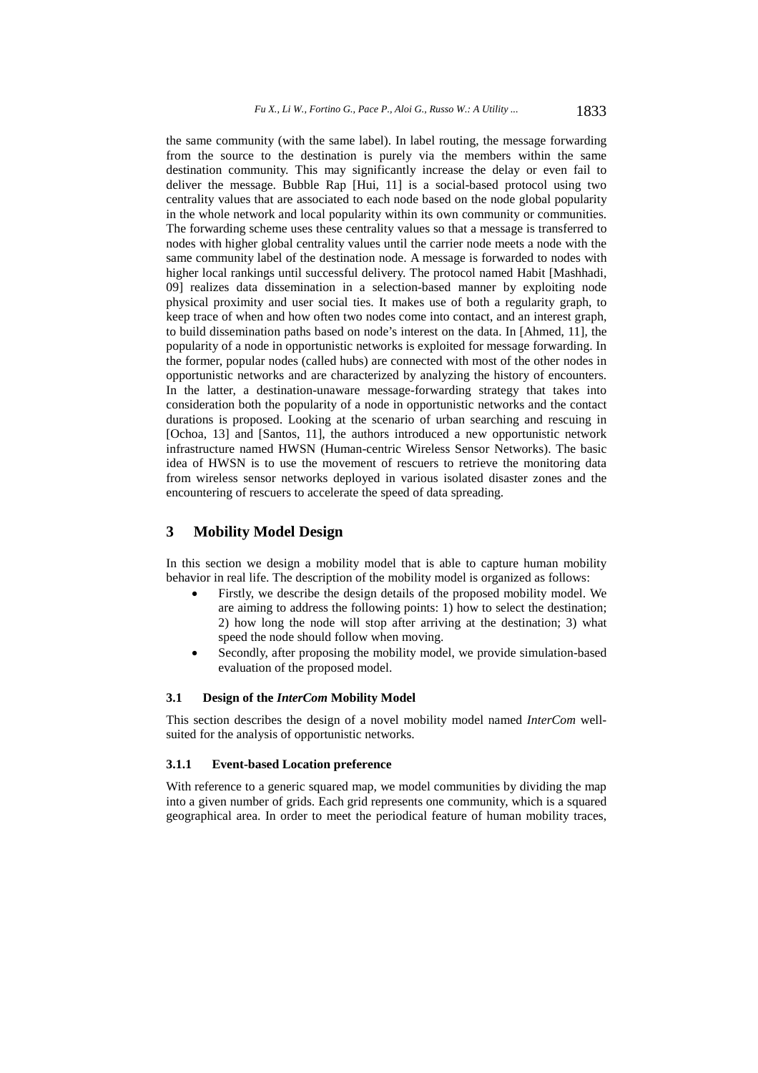the same community (with the same label). In label routing, the message forwarding from the source to the destination is purely via the members within the same destination community. This may significantly increase the delay or even fail to deliver the message. Bubble Rap [Hui, 11] is a social-based protocol using two centrality values that are associated to each node based on the node global popularity in the whole network and local popularity within its own community or communities. The forwarding scheme uses these centrality values so that a message is transferred to nodes with higher global centrality values until the carrier node meets a node with the same community label of the destination node. A message is forwarded to nodes with higher local rankings until successful delivery. The protocol named Habit [Mashhadi, 09] realizes data dissemination in a selection-based manner by exploiting node physical proximity and user social ties. It makes use of both a regularity graph, to keep trace of when and how often two nodes come into contact, and an interest graph, to build dissemination paths based on node's interest on the data. In [Ahmed, 11], the popularity of a node in opportunistic networks is exploited for message forwarding. In the former, popular nodes (called hubs) are connected with most of the other nodes in opportunistic networks and are characterized by analyzing the history of encounters. In the latter, a destination-unaware message-forwarding strategy that takes into consideration both the popularity of a node in opportunistic networks and the contact durations is proposed. Looking at the scenario of urban searching and rescuing in [Ochoa, 13] and [Santos, 11], the authors introduced a new opportunistic network infrastructure named HWSN (Human-centric Wireless Sensor Networks). The basic idea of HWSN is to use the movement of rescuers to retrieve the monitoring data from wireless sensor networks deployed in various isolated disaster zones and the encountering of rescuers to accelerate the speed of data spreading.

# **3 Mobility Model Design**

In this section we design a mobility model that is able to capture human mobility behavior in real life. The description of the mobility model is organized as follows:

- Firstly, we describe the design details of the proposed mobility model. We are aiming to address the following points: 1) how to select the destination; 2) how long the node will stop after arriving at the destination; 3) what speed the node should follow when moving.
- Secondly, after proposing the mobility model, we provide simulation-based evaluation of the proposed model.

# **3.1 Design of the** *InterCom* **Mobility Model**

This section describes the design of a novel mobility model named *InterCom* wellsuited for the analysis of opportunistic networks.

#### **3.1.1 Event-based Location preference**

With reference to a generic squared map, we model communities by dividing the map into a given number of grids. Each grid represents one community, which is a squared geographical area. In order to meet the periodical feature of human mobility traces,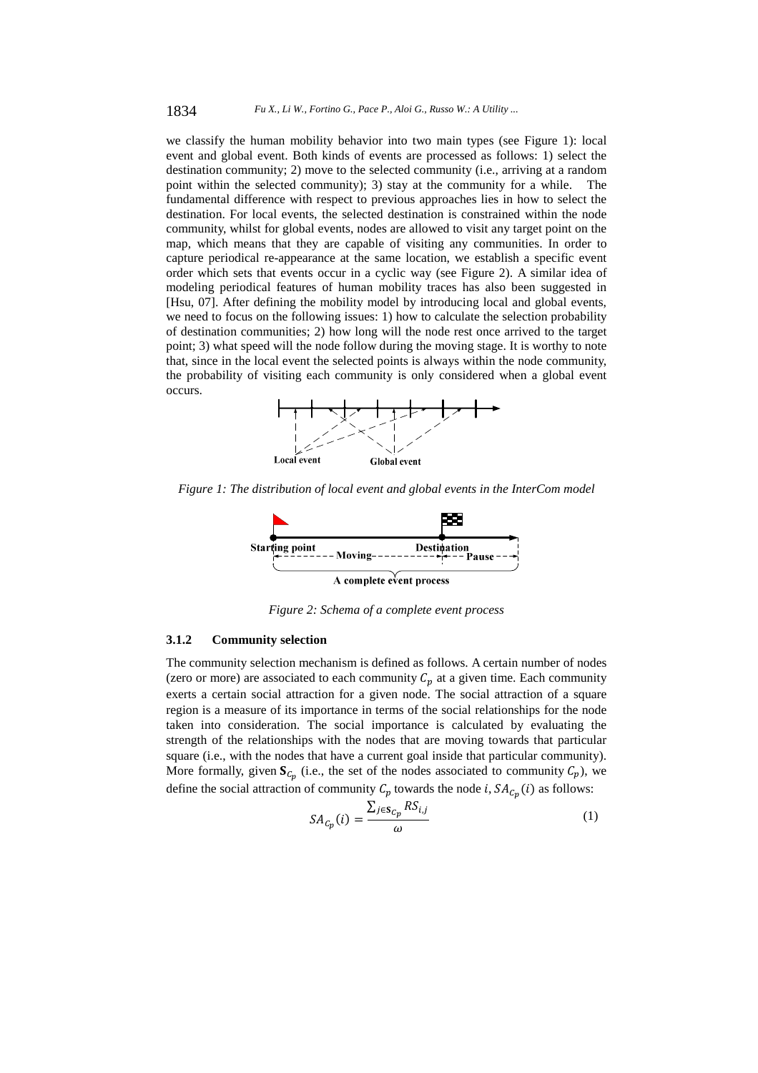we classify the human mobility behavior into two main types (see Figure 1): local event and global event. Both kinds of events are processed as follows: 1) select the destination community; 2) move to the selected community (i.e., arriving at a random point within the selected community); 3) stay at the community for a while. The fundamental difference with respect to previous approaches lies in how to select the destination. For local events, the selected destination is constrained within the node community, whilst for global events, nodes are allowed to visit any target point on the map, which means that they are capable of visiting any communities. In order to capture periodical re-appearance at the same location, we establish a specific event order which sets that events occur in a cyclic way (see Figure 2). A similar idea of modeling periodical features of human mobility traces has also been suggested in [Hsu, 07]. After defining the mobility model by introducing local and global events, we need to focus on the following issues: 1) how to calculate the selection probability of destination communities; 2) how long will the node rest once arrived to the target point; 3) what speed will the node follow during the moving stage. It is worthy to note that, since in the local event the selected points is always within the node community, the probability of visiting each community is only considered when a global event occurs.



*Figure 1: The distribution of local event and global events in the InterCom model* 



*Figure 2: Schema of a complete event process* 

#### **3.1.2 Community selection**

The community selection mechanism is defined as follows. A certain number of nodes (zero or more) are associated to each community  $C_p$  at a given time. Each community exerts a certain social attraction for a given node. The social attraction of a square region is a measure of its importance in terms of the social relationships for the node taken into consideration. The social importance is calculated by evaluating the strength of the relationships with the nodes that are moving towards that particular square (i.e., with the nodes that have a current goal inside that particular community). More formally, given  $S_{\mathcal{C}_p}$  (i.e., the set of the nodes associated to community  $\mathcal{C}_p$ ), we define the social attraction of community  $C_p$  towards the node *i*,  $SA_{C_p}(i)$  as follows:

$$
SA_{C_p}(i) = \frac{\sum_{j \in \mathcal{S}_{C_p}} RS_{i,j}}{\omega} \tag{1}
$$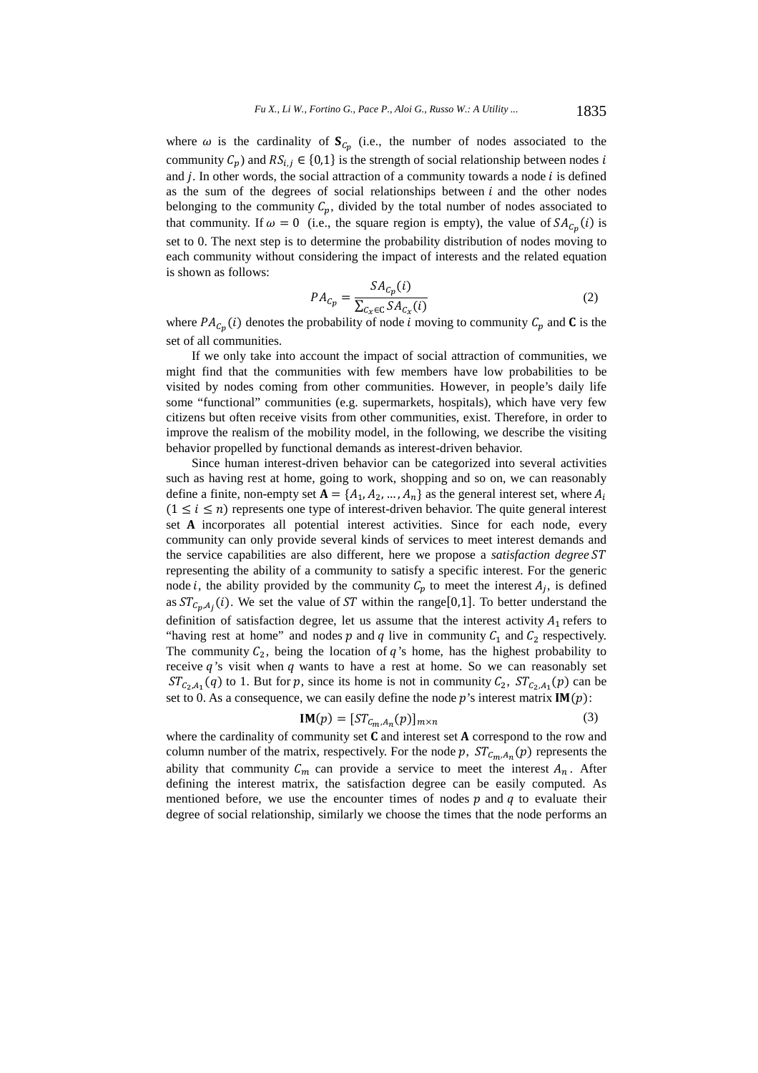where  $\omega$  is the cardinality of  $S_{C_p}$  (i.e., the number of nodes associated to the community  $C_p$ ) and  $RS_{i,j} \in \{0,1\}$  is the strength of social relationship between nodes i and  $j$ . In other words, the social attraction of a community towards a node  $i$  is defined as the sum of the degrees of social relationships between  $i$  and the other nodes belonging to the community  $C_p$ , divided by the total number of nodes associated to that community. If  $\omega=0$  (i.e., the square region is empty), the value of  $SA_{C_{n}}(i)$  is set to 0. The next step is to determine the probability distribution of nodes moving to each community without considering the impact of interests and the related equation is shown as follows:

$$
PA_{c_p} = \frac{SA_{c_p}(i)}{\sum_{c_x \in C} SA_{c_x}(i)}
$$
\n<sup>(2)</sup>

where  $PA_{C_p}(i)$  denotes the probability of node i moving to community  $C_p$  and **C** is the set of all communities.

If we only take into account the impact of social attraction of communities, we might find that the communities with few members have low probabilities to be visited by nodes coming from other communities. However, in people's daily life some "functional" communities (e.g. supermarkets, hospitals), which have very few citizens but often receive visits from other communities, exist. Therefore, in order to improve the realism of the mobility model, in the following, we describe the visiting behavior propelled by functional demands as interest-driven behavior.

Since human interest-driven behavior can be categorized into several activities such as having rest at home, going to work, shopping and so on, we can reasonably define a finite, non-empty set  ${\bf A} = {A_1, A_2, ..., A_n}$  as the general interest set, where  $A_i$  $(1 \le i \le n)$  represents one type of interest-driven behavior. The quite general interest set A incorporates all potential interest activities. Since for each node, every community can only provide several kinds of services to meet interest demands and the service capabilities are also different, here we propose a *satisfaction degree ST* representing the ability of a community to satisfy a specific interest. For the generic node *i*, the ability provided by the community  $C_p$  to meet the interest  $A_j$ , is defined as  $ST_{C_n,A_i}(i)$ . We set the value of ST within the range[0,1]. To better understand the definition of satisfaction degree, let us assume that the interest activity  $A_1$  refers to "having rest at home" and nodes  $p$  and  $q$  live in community  $C_1$  and  $C_2$  respectively. The community  $C_2$ , being the location of  $q$ 's home, has the highest probability to receive  $q$ 's visit when  $q$  wants to have a rest at home. So we can reasonably set  $ST_{C_2,A_1}(q)$  to 1. But for p, since its home is not in community  $C_2$ ,  $ST_{C_2,A_1}(p)$  can be set to 0. As a consequence, we can easily define the node  $p$ 's interest matrix  $IM(p)$ :

$$
IM(p) = [ST_{C_m, A_n}(p)]_{m \times n}
$$
 (3)

where the cardinality of community set  $C$  and interest set  $A$  correspond to the row and column number of the matrix, respectively. For the node p,  $ST_{c_m, A_n}(p)$  represents the ability that community  $C_m$  can provide a service to meet the interest  $A_n$ . After defining the interest matrix, the satisfaction degree can be easily computed. As mentioned before, we use the encounter times of nodes  $p$  and  $q$  to evaluate their degree of social relationship, similarly we choose the times that the node performs an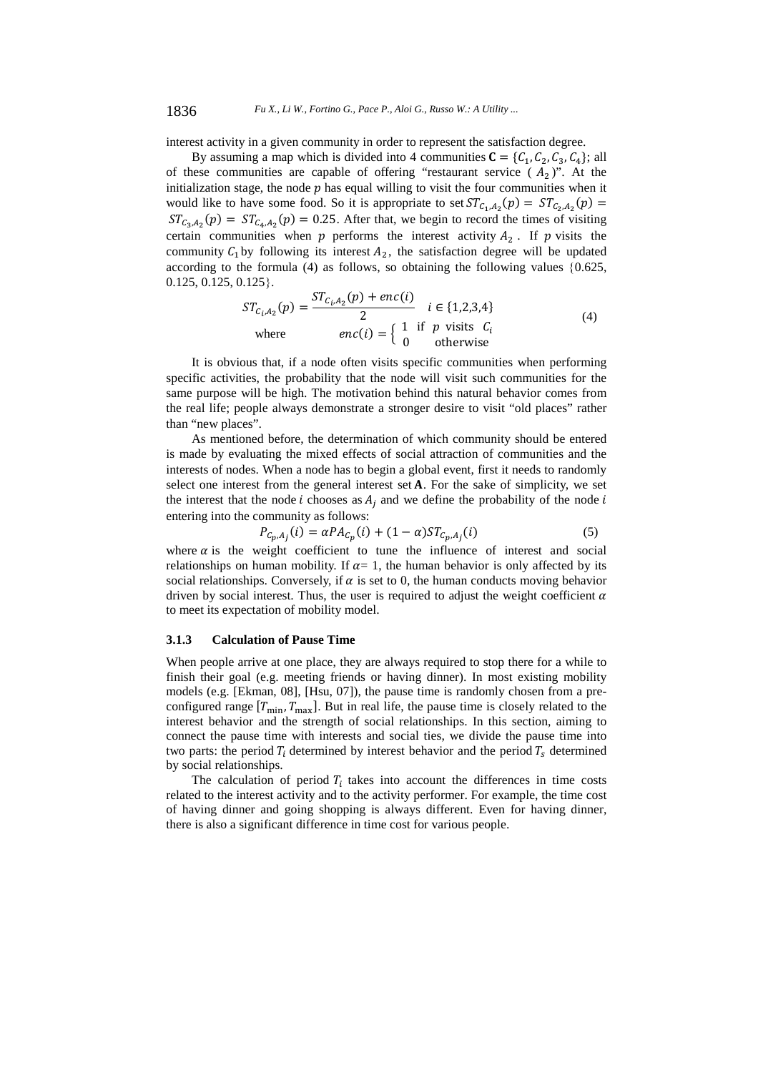interest activity in a given community in order to represent the satisfaction degree.

By assuming a map which is divided into 4 communities  $C = \{C_1, C_2, C_3, C_4\}$ ; all of these communities are capable of offering "restaurant service  $(A_2)$ ". At the initialization stage, the node  $p$  has equal willing to visit the four communities when it would like to have some food. So it is appropriate to set  $ST_{C_1,A_2}(p) = ST_{C_2,A_2}(p)$  $ST_{C_3,A_2}(p) = ST_{C_4,A_2}(p) = 0.25$ . After that, we begin to record the times of visiting certain communities when  $p$  performs the interest activity  $A_2$ . If  $p$  visits the community  $C_1$  by following its interest  $A_2$ , the satisfaction degree will be updated according to the formula (4) as follows, so obtaining the following values  $\{0.625,$  $0.125, 0.125, 0.125$ .

$$
ST_{C_i, A_2}(p) = \frac{ST_{C_i, A_2}(p) + enc(i)}{2} \quad i \in \{1, 2, 3, 4\}
$$
\n
$$
enc(i) = \begin{cases} 1 & \text{if } p \text{ visits } C_i \\ 0 & \text{otherwise} \end{cases} (4)
$$

It is obvious that, if a node often visits specific communities when performing specific activities, the probability that the node will visit such communities for the same purpose will be high. The motivation behind this natural behavior comes from the real life; people always demonstrate a stronger desire to visit "old places" rather than "new places".

As mentioned before, the determination of which community should be entered is made by evaluating the mixed effects of social attraction of communities and the interests of nodes. When a node has to begin a global event, first it needs to randomly select one interest from the general interest set  $A$ . For the sake of simplicity, we set the interest that the node *i* chooses as  $A_i$  and we define the probability of the node *i* entering into the community as follows:

$$
P_{C_p, A_j}(i) = \alpha P A_{C_p}(i) + (1 - \alpha) S T_{C_p, A_j}(i)
$$
\n(5)

where  $\alpha$  is the weight coefficient to tune the influence of interest and social relationships on human mobility. If  $\alpha = 1$ , the human behavior is only affected by its social relationships. Conversely, if  $\alpha$  is set to 0, the human conducts moving behavior driven by social interest. Thus, the user is required to adjust the weight coefficient  $\alpha$ to meet its expectation of mobility model.

#### **3.1.3 Calculation of Pause Time**

When people arrive at one place, they are always required to stop there for a while to finish their goal (e.g. meeting friends or having dinner). In most existing mobility models (e.g. [Ekman, 08], [Hsu, 07]), the pause time is randomly chosen from a preconfigured range  $[T_{min}, T_{max}]$ . But in real life, the pause time is closely related to the interest behavior and the strength of social relationships. In this section, aiming to connect the pause time with interests and social ties, we divide the pause time into two parts: the period  $T_i$  determined by interest behavior and the period  $T_s$  determined by social relationships.

The calculation of period  $T_i$  takes into account the differences in time costs related to the interest activity and to the activity performer. For example, the time cost of having dinner and going shopping is always different. Even for having dinner, there is also a significant difference in time cost for various people.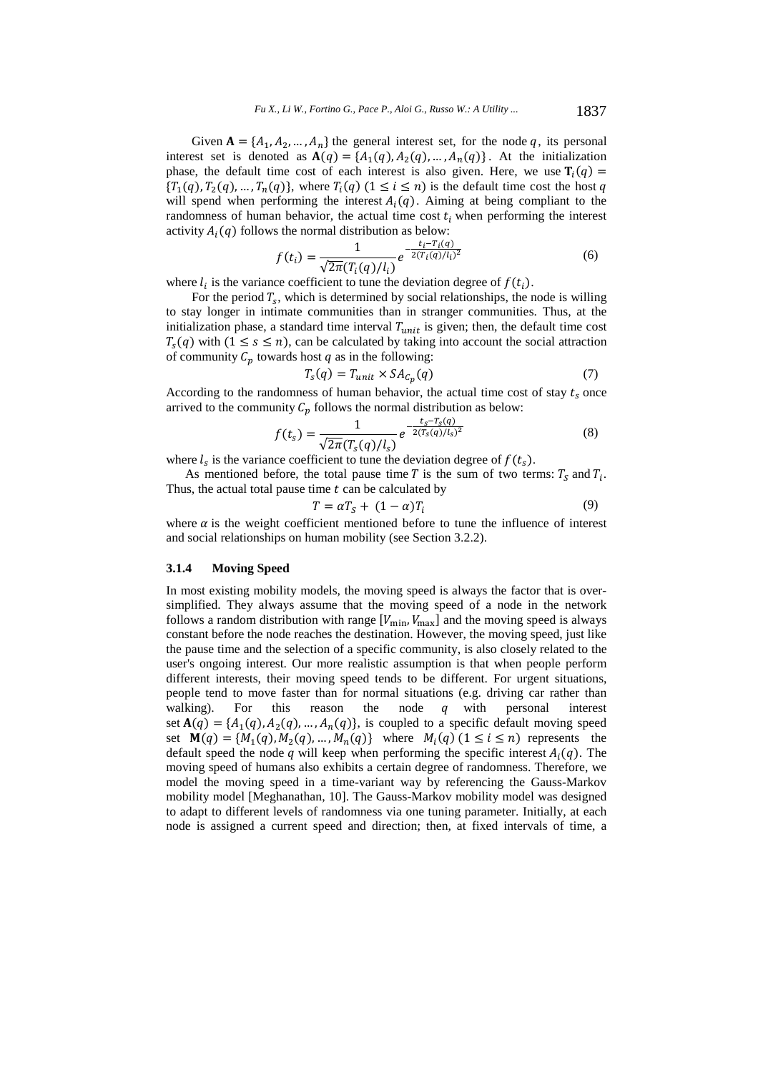Given  ${\bf A} = \{A_1, A_2, ..., A_n\}$  the general interest set, for the node q, its personal interest set is denoted as  $A(q) = \{A_1(q), A_2(q), ..., A_n(q)\}$ . At the initialization phase, the default time cost of each interest is also given. Here, we use  $\mathbf{T}_i(q)$  =  ${T_1(q), T_2(q), ..., T_n(q)}$ , where  $T_i(q)$   $(1 \le i \le n)$  is the default time cost the host q will spend when performing the interest  $A_i(q)$ . Aiming at being compliant to the randomness of human behavior, the actual time cost  $t_i$  when performing the interest activity  $A_i(q)$  follows the normal distribution as below:

$$
f(t_i) = \frac{1}{\sqrt{2\pi}(T_i(q)/l_i)} e^{-\frac{t_i - T_i(q)}{2(T_i(q)/l_i)^2}}
$$
(6)

where  $l_i$  is the variance coefficient to tune the deviation degree of  $f(t_i)$ .

For the period  $T_s$ , which is determined by social relationships, the node is willing to stay longer in intimate communities than in stranger communities. Thus, at the initialization phase, a standard time interval  $T_{unit}$  is given; then, the default time cost  $T_s(q)$  with  $(1 \le s \le n)$ , can be calculated by taking into account the social attraction of community  $C_p$  towards host  $q$  as in the following:

$$
T_s(q) = T_{unit} \times SA_{C_p}(q) \tag{7}
$$

According to the randomness of human behavior, the actual time cost of stay  $t_s$  once arrived to the community  $C_p$  follows the normal distribution as below:

$$
f(t_s) = \frac{1}{\sqrt{2\pi}(T_s(q)/l_s)} e^{-\frac{t_s - T_s(q)}{2(T_s(q)/l_s)^2}}
$$
(8)

where  $l_s$  is the variance coefficient to tune the deviation degree of  $f(t_s)$ .

As mentioned before, the total pause time T is the sum of two terms:  $T_s$  and  $T_i$ . Thus, the actual total pause time  $t$  can be calculated by

$$
T = \alpha T_S + (1 - \alpha) T_i \tag{9}
$$

where  $\alpha$  is the weight coefficient mentioned before to tune the influence of interest and social relationships on human mobility (see Section 3.2.2).

#### **3.1.4 Moving Speed**

In most existing mobility models, the moving speed is always the factor that is oversimplified. They always assume that the moving speed of a node in the network follows a random distribution with range  $[V_{\min}, V_{\max}]$  and the moving speed is always constant before the node reaches the destination. However, the moving speed, just like the pause time and the selection of a specific community, is also closely related to the user's ongoing interest. Our more realistic assumption is that when people perform different interests, their moving speed tends to be different. For urgent situations, people tend to move faster than for normal situations (e.g. driving car rather than walking). For this reason the node  $q$  with personal interest set  $A(q) = {A_1(q), A_2(q), ..., A_n(q)}$ , is coupled to a specific default moving speed set  $\mathbf{M}(q) = \{M_1(q), M_2(q), \dots, M_n(q)\}\$  where  $M_i(q)$   $(1 \leq i \leq n)$  represents the default speed the node q will keep when performing the specific interest  $A_i(q)$ . The moving speed of humans also exhibits a certain degree of randomness. Therefore, we model the moving speed in a time-variant way by referencing the Gauss-Markov mobility model [Meghanathan, 10]. The Gauss-Markov mobility model was designed to adapt to different levels of randomness via one tuning parameter. Initially, at each node is assigned a current speed and direction; then, at fixed intervals of time, a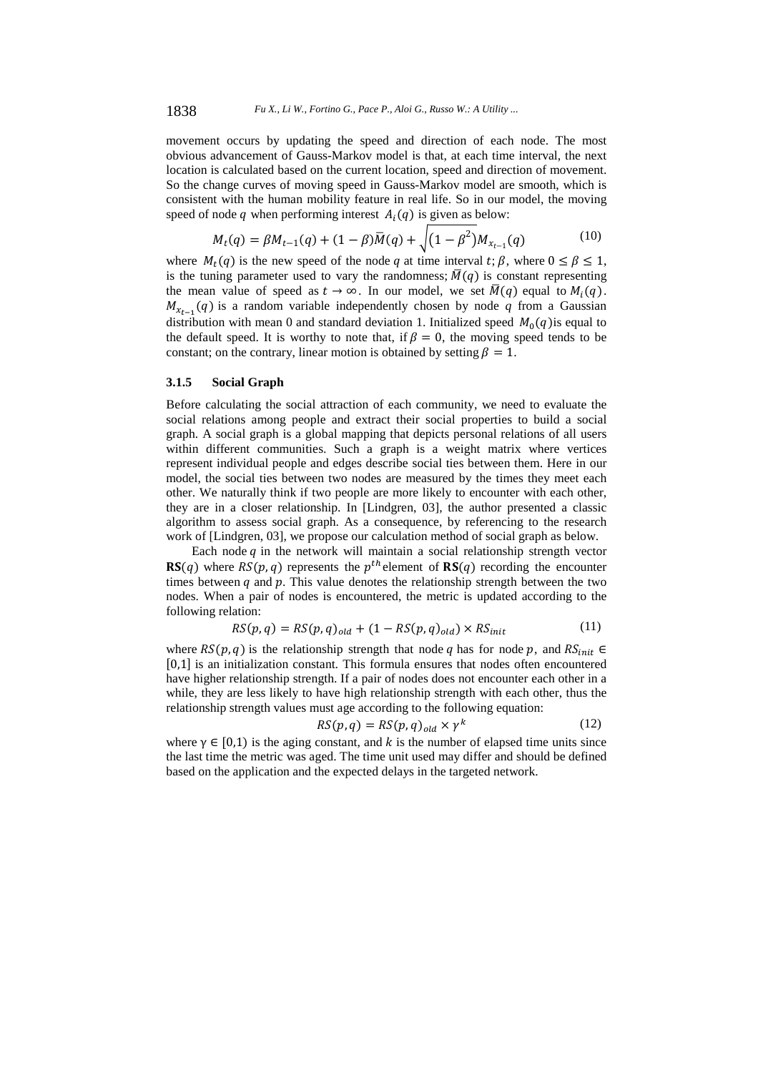movement occurs by updating the speed and direction of each node. The most obvious advancement of Gauss-Markov model is that, at each time interval, the next location is calculated based on the current location, speed and direction of movement. So the change curves of moving speed in Gauss-Markov model are smooth, which is consistent with the human mobility feature in real life. So in our model, the moving speed of node  $q$  when performing interest  $A_i(q)$  is given as below:

$$
M_t(q) = \beta M_{t-1}(q) + (1 - \beta)\overline{M}(q) + \sqrt{(1 - \beta^2)M_{x_{t-1}}(q)}
$$
(10)

where  $M_t(q)$  is the new speed of the node q at time interval  $t; \beta$ , where  $0 \leq \beta \leq 1$ , is the tuning parameter used to vary the randomness;  $\overline{M}(q)$  is constant representing the mean value of speed as  $t \to \infty$ . In our model, we set  $\overline{M}(q)$  equal to  $M_i(q)$ .  $M_{\chi_{t-1}}(q)$  is a random variable independently chosen by node q from a Gaussian distribution with mean 0 and standard deviation 1. Initialized speed  $M_0(q)$  is equal to the default speed. It is worthy to note that, if  $\beta = 0$ , the moving speed tends to be constant; on the contrary, linear motion is obtained by setting  $\beta = 1$ .

# **3.1.5 Social Graph**

Before calculating the social attraction of each community, we need to evaluate the social relations among people and extract their social properties to build a social graph. A social graph is a global mapping that depicts personal relations of all users within different communities. Such a graph is a weight matrix where vertices represent individual people and edges describe social ties between them. Here in our model, the social ties between two nodes are measured by the times they meet each other. We naturally think if two people are more likely to encounter with each other, they are in a closer relationship. In [Lindgren, 03], the author presented a classic algorithm to assess social graph. As a consequence, by referencing to the research work of [Lindgren, 03], we propose our calculation method of social graph as below.

Each node  $q$  in the network will maintain a social relationship strength vector  $\mathbf{RS}(q)$  where  $RS(p, q)$  represents the  $p^{th}$  element of  $\mathbf{RS}(q)$  recording the encounter times between  $q$  and  $p$ . This value denotes the relationship strength between the two nodes. When a pair of nodes is encountered, the metric is updated according to the following relation:

$$
RS(p,q) = RS(p,q)_{old} + (1 - RS(p,q)_{old}) \times RS_{init}
$$
\n
$$
(11)
$$

where  $RS(p, q)$  is the relationship strength that node q has for node p, and  $RS_{init}$   $\in$ [0,1] is an initialization constant. This formula ensures that nodes often encountered have higher relationship strength. If a pair of nodes does not encounter each other in a while, they are less likely to have high relationship strength with each other, thus the relationship strength values must age according to the following equation:

$$
RS(p,q) = RS(p,q)_{old} \times \gamma^k
$$
 (12)

where  $\gamma \in [0,1)$  is the aging constant, and k is the number of elapsed time units since the last time the metric was aged. The time unit used may differ and should be defined based on the application and the expected delays in the targeted network.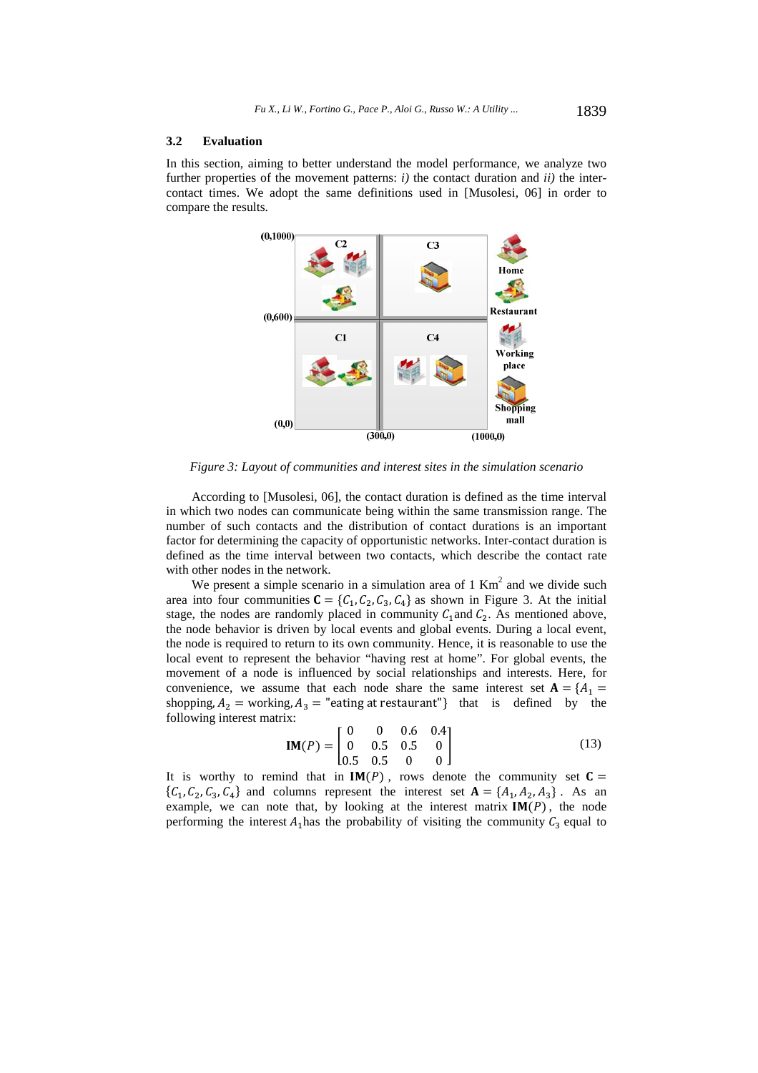#### **3.2 Evaluation**

In this section, aiming to better understand the model performance, we analyze two further properties of the movement patterns:  $i$ ) the contact duration and  $ii$ ) the intercontact times. We adopt the same definitions used in [Musolesi, 06] in order to compare the results.



*Figure 3: Layout of communities and interest sites in the simulation scenario* 

According to [Musolesi, 06], the contact duration is defined as the time interval in which two nodes can communicate being within the same transmission range. The number of such contacts and the distribution of contact durations is an important factor for determining the capacity of opportunistic networks. Inter-contact duration is defined as the time interval between two contacts, which describe the contact rate with other nodes in the network.

We present a simple scenario in a simulation area of  $1 \text{ Km}^2$  and we divide such area into four communities  $C = \{C_1, C_2, C_3, C_4\}$  as shown in Figure 3. At the initial stage, the nodes are randomly placed in community  $C_1$  and  $C_2$ . As mentioned above, the node behavior is driven by local events and global events. During a local event, the node is required to return to its own community. Hence, it is reasonable to use the local event to represent the behavior "having rest at home". For global events, the movement of a node is influenced by social relationships and interests. Here, for convenience, we assume that each node share the same interest set  $A = \{A_1 =$ shopping,  $A_2$  = working,  $A_3$  = "eating at restaurant"} that is defined by the following interest matrix:

$$
IM(P) = \begin{bmatrix} 0 & 0 & 0.6 & 0.4 \\ 0 & 0.5 & 0.5 & 0 \\ 0.5 & 0.5 & 0 & 0 \end{bmatrix}
$$
 (13)

It is worthy to remind that in  $IM(P)$ , rows denote the community set  $C =$  $\{C_1, C_2, C_3, C_4\}$  and columns represent the interest set  $\mathbf{A} = \{A_1, A_2, A_3\}$ . As an example, we can note that, by looking at the interest matrix  $IM(P)$ , the node performing the interest  $A_1$  has the probability of visiting the community  $C_3$  equal to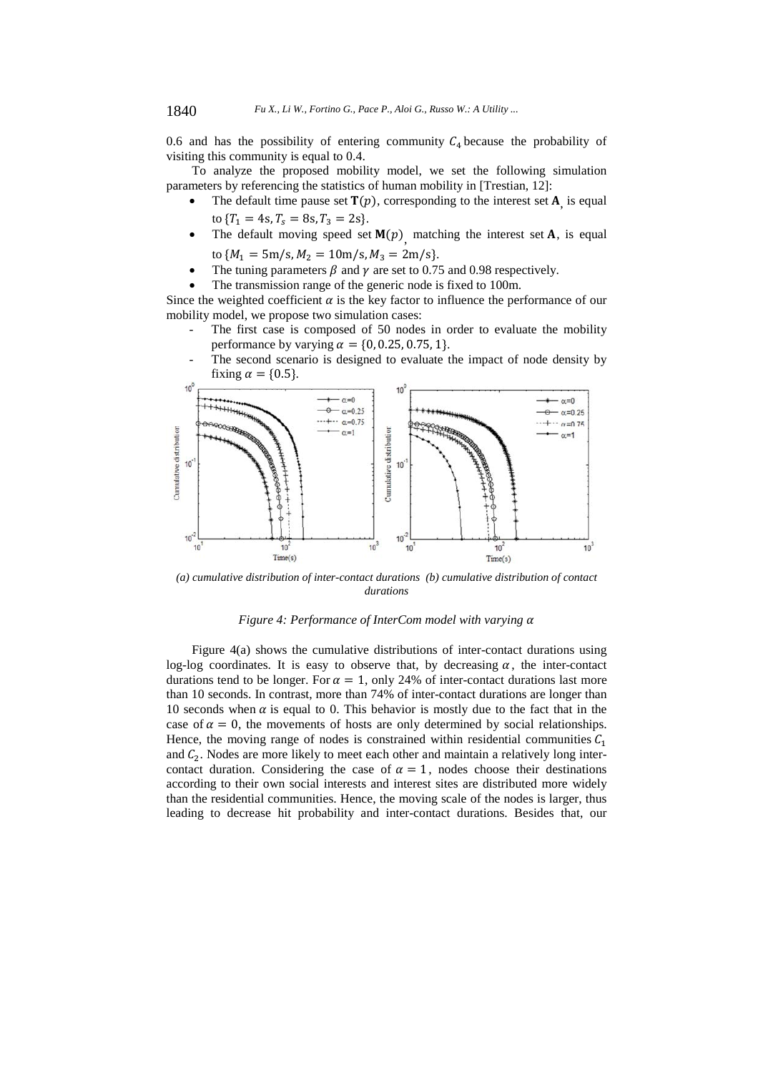0.6 and has the possibility of entering community  $C_4$  because the probability of visiting this community is equal to 0.4.

To analyze the proposed mobility model, we set the following simulation parameters by referencing the statistics of human mobility in [Trestian, 12]:

- The default time pause set  $\mathbf{T}(p)$ , corresponding to the interest set  $\mathbf{A}_i$  is equal to  $\{T_1 = 4s, T_s = 8s, T_3 = 2s\}.$
- The default moving speed set  $M(p)$  matching the interest set A, is equal to  $\{M_1 = 5 \text{m/s}, M_2 = 10 \text{m/s}, M_3 = 2 \text{m/s}\}.$
- The tuning parameters  $\beta$  and  $\gamma$  are set to 0.75 and 0.98 respectively.
- The transmission range of the generic node is fixed to 100m.

Since the weighted coefficient  $\alpha$  is the key factor to influence the performance of our mobility model, we propose two simulation cases:

- The first case is composed of 50 nodes in order to evaluate the mobility performance by varying  $\alpha = \{0, 0.25, 0.75, 1\}.$
- The second scenario is designed to evaluate the impact of node density by fixing  $\alpha = \{0.5\}$ .



*(a) cumulative distribution of inter-contact durations (b) cumulative distribution of contact durations* 

# *Figure 4: Performance of InterCom model with varying*  $\alpha$

Figure 4(a) shows the cumulative distributions of inter-contact durations using log-log coordinates. It is easy to observe that, by decreasing  $\alpha$ , the inter-contact durations tend to be longer. For  $\alpha = 1$ , only 24% of inter-contact durations last more than 10 seconds. In contrast, more than 74% of inter-contact durations are longer than 10 seconds when  $\alpha$  is equal to 0. This behavior is mostly due to the fact that in the case of  $\alpha = 0$ , the movements of hosts are only determined by social relationships. Hence, the moving range of nodes is constrained within residential communities  $C_1$ and  $C_2$ . Nodes are more likely to meet each other and maintain a relatively long intercontact duration. Considering the case of  $\alpha = 1$ , nodes choose their destinations according to their own social interests and interest sites are distributed more widely than the residential communities. Hence, the moving scale of the nodes is larger, thus leading to decrease hit probability and inter-contact durations. Besides that, our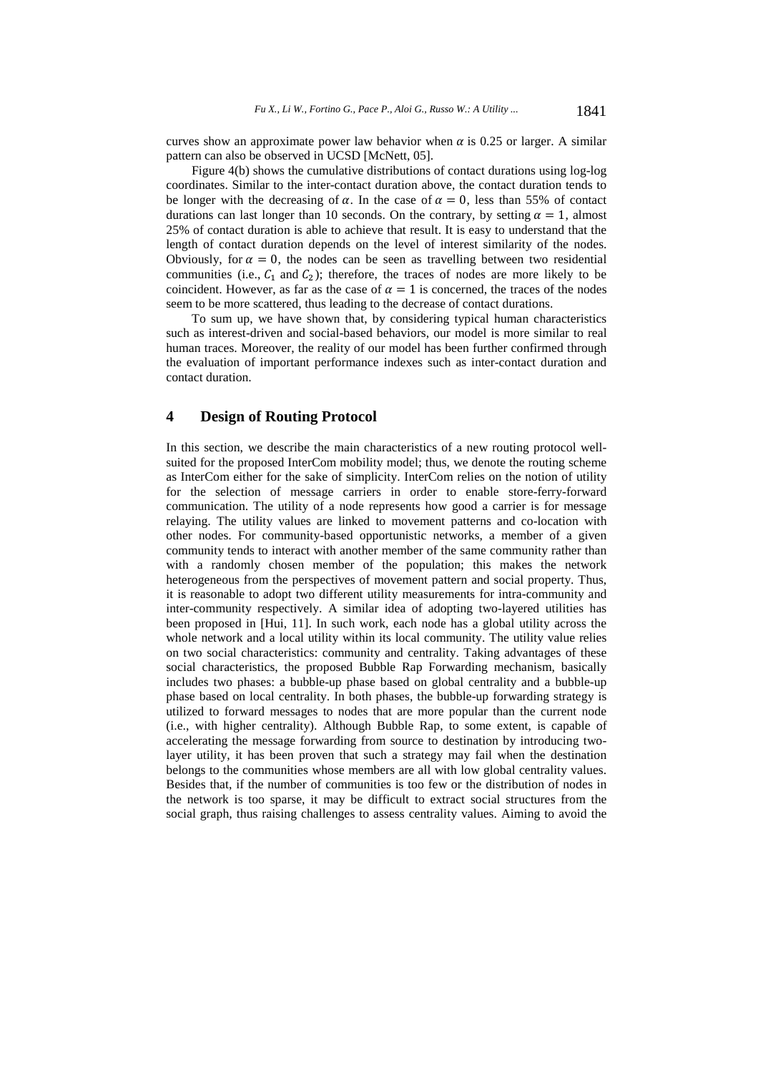curves show an approximate power law behavior when  $\alpha$  is 0.25 or larger. A similar pattern can also be observed in UCSD [McNett, 05].

Figure 4(b) shows the cumulative distributions of contact durations using log-log coordinates. Similar to the inter-contact duration above, the contact duration tends to be longer with the decreasing of  $\alpha$ . In the case of  $\alpha = 0$ , less than 55% of contact durations can last longer than 10 seconds. On the contrary, by setting  $\alpha = 1$ , almost 25% of contact duration is able to achieve that result. It is easy to understand that the length of contact duration depends on the level of interest similarity of the nodes. Obviously, for  $\alpha = 0$ , the nodes can be seen as travelling between two residential communities (i.e.,  $C_1$  and  $C_2$ ); therefore, the traces of nodes are more likely to be coincident. However, as far as the case of  $\alpha = 1$  is concerned, the traces of the nodes seem to be more scattered, thus leading to the decrease of contact durations.

To sum up, we have shown that, by considering typical human characteristics such as interest-driven and social-based behaviors, our model is more similar to real human traces. Moreover, the reality of our model has been further confirmed through the evaluation of important performance indexes such as inter-contact duration and contact duration.

# **4 Design of Routing Protocol**

In this section, we describe the main characteristics of a new routing protocol wellsuited for the proposed InterCom mobility model; thus, we denote the routing scheme as InterCom either for the sake of simplicity. InterCom relies on the notion of utility for the selection of message carriers in order to enable store-ferry-forward communication. The utility of a node represents how good a carrier is for message relaying. The utility values are linked to movement patterns and co-location with other nodes. For community-based opportunistic networks, a member of a given community tends to interact with another member of the same community rather than with a randomly chosen member of the population; this makes the network heterogeneous from the perspectives of movement pattern and social property. Thus, it is reasonable to adopt two different utility measurements for intra-community and inter-community respectively. A similar idea of adopting two-layered utilities has been proposed in [Hui, 11]. In such work, each node has a global utility across the whole network and a local utility within its local community. The utility value relies on two social characteristics: community and centrality. Taking advantages of these social characteristics, the proposed Bubble Rap Forwarding mechanism, basically includes two phases: a bubble-up phase based on global centrality and a bubble-up phase based on local centrality. In both phases, the bubble-up forwarding strategy is utilized to forward messages to nodes that are more popular than the current node (i.e., with higher centrality). Although Bubble Rap, to some extent, is capable of accelerating the message forwarding from source to destination by introducing twolayer utility, it has been proven that such a strategy may fail when the destination belongs to the communities whose members are all with low global centrality values. Besides that, if the number of communities is too few or the distribution of nodes in the network is too sparse, it may be difficult to extract social structures from the social graph, thus raising challenges to assess centrality values. Aiming to avoid the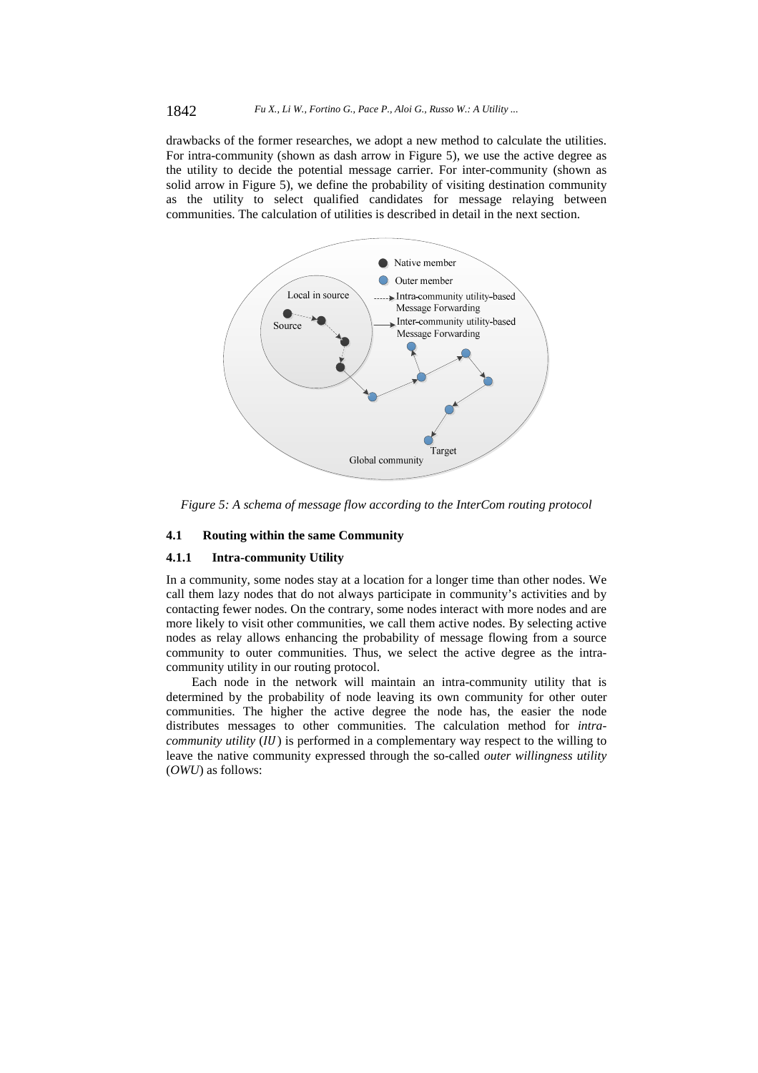drawbacks of the former researches, we adopt a new method to calculate the utilities. For intra-community (shown as dash arrow in Figure 5), we use the active degree as the utility to decide the potential message carrier. For inter-community (shown as solid arrow in Figure 5), we define the probability of visiting destination community as the utility to select qualified candidates for message relaying between communities. The calculation of utilities is described in detail in the next section.



*Figure 5: A schema of message flow according to the InterCom routing protocol*

#### **4.1 Routing within the same Community**

#### **4.1.1 Intra-community Utility**

In a community, some nodes stay at a location for a longer time than other nodes. We call them lazy nodes that do not always participate in community's activities and by contacting fewer nodes. On the contrary, some nodes interact with more nodes and are more likely to visit other communities, we call them active nodes. By selecting active nodes as relay allows enhancing the probability of message flowing from a source community to outer communities. Thus, we select the active degree as the intracommunity utility in our routing protocol.

Each node in the network will maintain an intra-community utility that is determined by the probability of node leaving its own community for other outer communities. The higher the active degree the node has, the easier the node distributes messages to other communities. The calculation method for *intracommunity utility* (*IU*) is performed in a complementary way respect to the willing to leave the native community expressed through the so-called *outer willingness utility*  (*OWU*) as follows: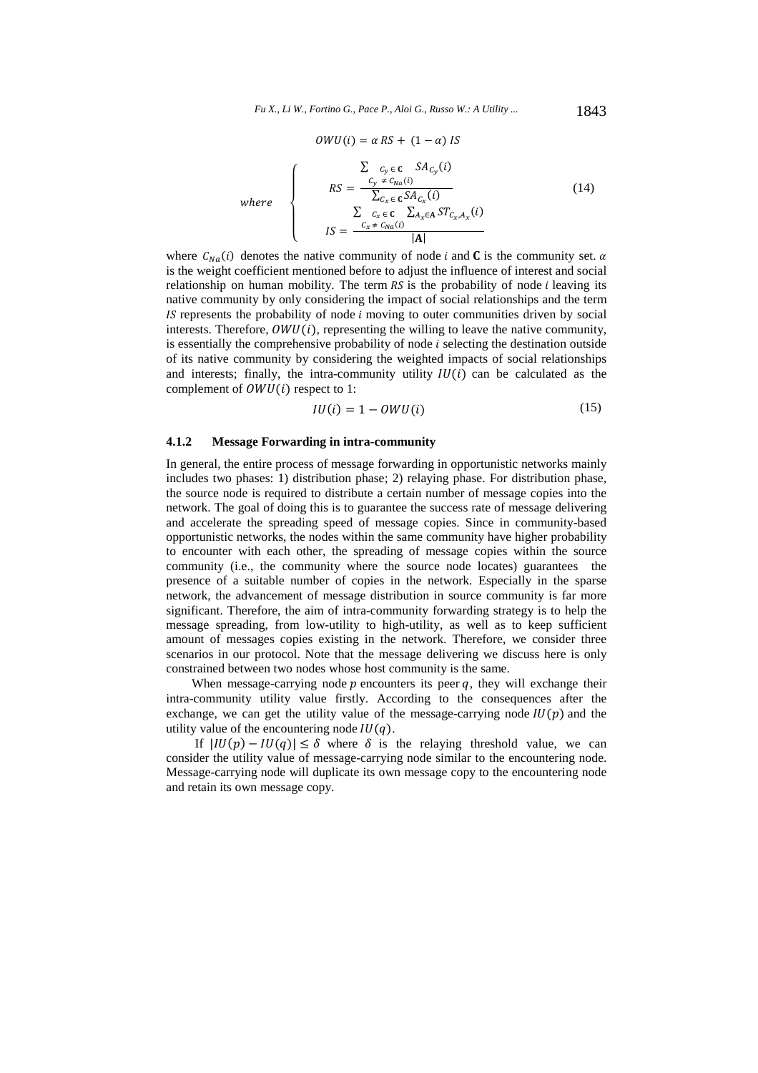$$
OWU(i) = \alpha RS + (1 - \alpha) IS
$$
\n
$$
W = \begin{cases}\n\sum_{C_y \in C} c_y \epsilon C S A_{C_y}(i) \\
RS = \frac{C_y \neq c_{Na}(i)}{\sum_{C_x \in C} S A_{C_x}(i)} \\
IS = \frac{\sum_{C_x \neq C_N} c_z \sum_{A_x \in A} S T_{C_x, A_x}(i)}{|A|}\n\end{cases}
$$
\n(14)

where  $C_{Na}(i)$  denotes the native community of node *i* and **C** is the community set.  $\alpha$ is the weight coefficient mentioned before to adjust the influence of interest and social relationship on human mobility. The term  $RS$  is the probability of node  $i$  leaving its native community by only considering the impact of social relationships and the term  $IS$  represents the probability of node  $i$  moving to outer communities driven by social interests. Therefore,  $OWU(i)$ , representing the willing to leave the native community, is essentially the comprehensive probability of node  $i$  selecting the destination outside of its native community by considering the weighted impacts of social relationships and interests; finally, the intra-community utility  $IU(i)$  can be calculated as the complement of  $OWU(i)$  respect to 1:

$$
IU(i) = 1 - OWU(i) \tag{15}
$$

# **4.1.2 Message Forwarding in intra-community**

In general, the entire process of message forwarding in opportunistic networks mainly includes two phases: 1) distribution phase; 2) relaying phase. For distribution phase, the source node is required to distribute a certain number of message copies into the network. The goal of doing this is to guarantee the success rate of message delivering and accelerate the spreading speed of message copies. Since in community-based opportunistic networks, the nodes within the same community have higher probability to encounter with each other, the spreading of message copies within the source community (i.e., the community where the source node locates) guarantees the presence of a suitable number of copies in the network. Especially in the sparse network, the advancement of message distribution in source community is far more significant. Therefore, the aim of intra-community forwarding strategy is to help the message spreading, from low-utility to high-utility, as well as to keep sufficient amount of messages copies existing in the network. Therefore, we consider three scenarios in our protocol. Note that the message delivering we discuss here is only constrained between two nodes whose host community is the same.

When message-carrying node  $p$  encounters its peer  $q$ , they will exchange their intra-community utility value firstly. According to the consequences after the exchange, we can get the utility value of the message-carrying node  $IU(p)$  and the utility value of the encountering node  $IU(q)$ .

If  $|IU(p) - IU(q)| \leq \delta$  where  $\delta$  is the relaying threshold value, we can consider the utility value of message-carrying node similar to the encountering node. Message-carrying node will duplicate its own message copy to the encountering node and retain its own message copy.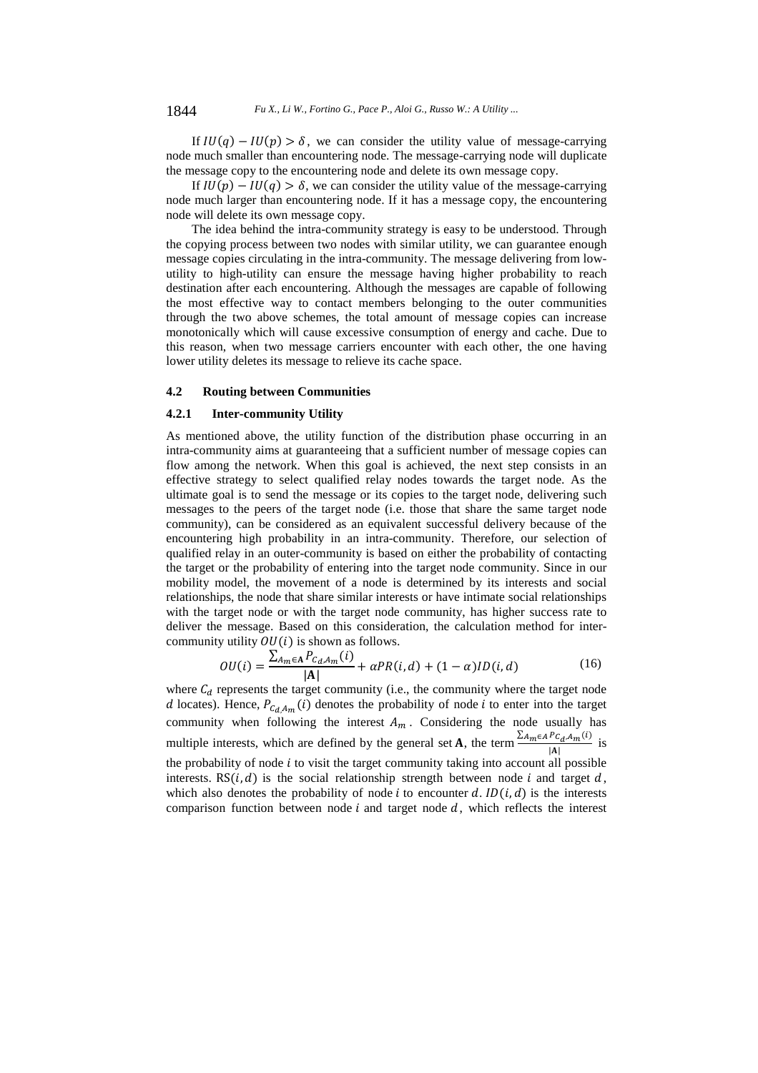If  $IU(q) - IU(p) > \delta$ , we can consider the utility value of message-carrying node much smaller than encountering node. The message-carrying node will duplicate the message copy to the encountering node and delete its own message copy.

If  $IU(p) - IU(q) > \delta$ , we can consider the utility value of the message-carrying node much larger than encountering node. If it has a message copy, the encountering node will delete its own message copy.

The idea behind the intra-community strategy is easy to be understood. Through the copying process between two nodes with similar utility, we can guarantee enough message copies circulating in the intra-community. The message delivering from lowutility to high-utility can ensure the message having higher probability to reach destination after each encountering. Although the messages are capable of following the most effective way to contact members belonging to the outer communities through the two above schemes, the total amount of message copies can increase monotonically which will cause excessive consumption of energy and cache. Due to this reason, when two message carriers encounter with each other, the one having lower utility deletes its message to relieve its cache space.

#### **4.2 Routing between Communities**

#### **4.2.1 Inter-community Utility**

As mentioned above, the utility function of the distribution phase occurring in an intra-community aims at guaranteeing that a sufficient number of message copies can flow among the network. When this goal is achieved, the next step consists in an effective strategy to select qualified relay nodes towards the target node. As the ultimate goal is to send the message or its copies to the target node, delivering such messages to the peers of the target node (i.e. those that share the same target node community), can be considered as an equivalent successful delivery because of the encountering high probability in an intra-community. Therefore, our selection of qualified relay in an outer-community is based on either the probability of contacting the target or the probability of entering into the target node community. Since in our mobility model, the movement of a node is determined by its interests and social relationships, the node that share similar interests or have intimate social relationships with the target node or with the target node community, has higher success rate to deliver the message. Based on this consideration, the calculation method for intercommunity utility  $OU(i)$  is shown as follows.

$$
OU(i) = \frac{\sum_{A_m \in \mathbf{A}} P_{C_d, A_m}(i)}{|\mathbf{A}|} + \alpha PR(i, d) + (1 - \alpha) ID(i, d)
$$
(16)

where  $C_d$  represents the target community (i.e., the community where the target node d locates). Hence,  $P_{C_d A_m}(i)$  denotes the probability of node *i* to enter into the target community when following the interest  $A_m$ . Considering the node usually has multiple interests, which are defined by the general set **A**, the term  $\frac{\sum_{A_m \in A} P_{C_d, A_m}(i)}{|A|}$  is the probability of node  $i$  to visit the target community taking into account all possible interests. RS $(i, d)$  is the social relationship strength between node i and target d, which also denotes the probability of node *i* to encounter d.  $ID(i, d)$  is the interests comparison function between node  $i$  and target node  $d$ , which reflects the interest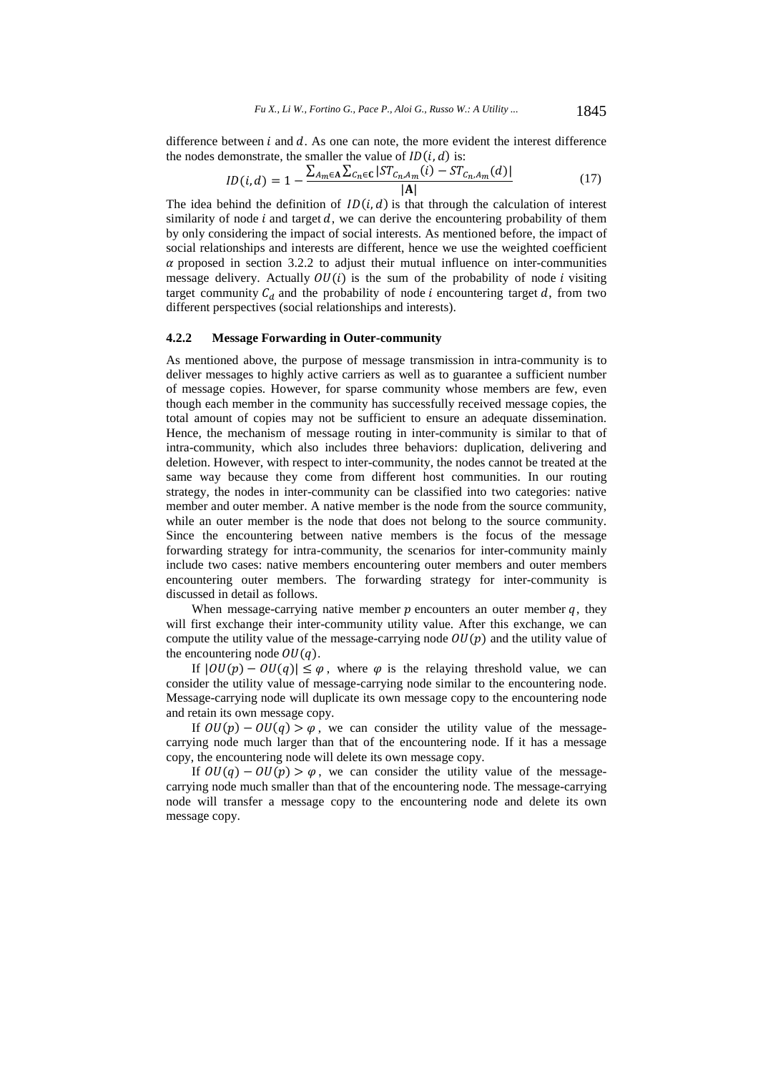difference between  $i$  and  $d$ . As one can note, the more evident the interest difference the nodes demonstrate, the smaller the value of  $ID(i, d)$  is:

$$
ID(i, d) = 1 - \frac{\sum_{A_m \in A} \sum_{C_n \in C} |ST_{C_n, A_m}(i) - ST_{C_n, A_m}(d)|}{|A|}
$$
(17)

The idea behind the definition of  $ID(i, d)$  is that through the calculation of interest similarity of node  $i$  and target  $d$ , we can derive the encountering probability of them by only considering the impact of social interests. As mentioned before, the impact of social relationships and interests are different, hence we use the weighted coefficient  $\alpha$  proposed in section 3.2.2 to adjust their mutual influence on inter-communities message delivery. Actually  $OU(i)$  is the sum of the probability of node *i* visiting target community  $C_d$  and the probability of node *i* encountering target  $d$ , from two different perspectives (social relationships and interests).

# **4.2.2 Message Forwarding in Outer-community**

As mentioned above, the purpose of message transmission in intra-community is to deliver messages to highly active carriers as well as to guarantee a sufficient number of message copies. However, for sparse community whose members are few, even though each member in the community has successfully received message copies, the total amount of copies may not be sufficient to ensure an adequate dissemination. Hence, the mechanism of message routing in inter-community is similar to that of intra-community, which also includes three behaviors: duplication, delivering and deletion. However, with respect to inter-community, the nodes cannot be treated at the same way because they come from different host communities. In our routing strategy, the nodes in inter-community can be classified into two categories: native member and outer member. A native member is the node from the source community, while an outer member is the node that does not belong to the source community. Since the encountering between native members is the focus of the message forwarding strategy for intra-community, the scenarios for inter-community mainly include two cases: native members encountering outer members and outer members encountering outer members. The forwarding strategy for inter-community is discussed in detail as follows.

When message-carrying native member  $p$  encounters an outer member  $q$ , they will first exchange their inter-community utility value. After this exchange, we can compute the utility value of the message-carrying node  $OU(p)$  and the utility value of the encountering node  $OU(q)$ .

If  $|OU(p) - OU(q)| \leq \varphi$ , where  $\varphi$  is the relaying threshold value, we can consider the utility value of message-carrying node similar to the encountering node. Message-carrying node will duplicate its own message copy to the encountering node and retain its own message copy.

If  $OU(p) - OU(q) > \varphi$ , we can consider the utility value of the messagecarrying node much larger than that of the encountering node. If it has a message copy, the encountering node will delete its own message copy.

If  $OU(q) - OU(p) > \varphi$ , we can consider the utility value of the messagecarrying node much smaller than that of the encountering node. The message-carrying node will transfer a message copy to the encountering node and delete its own message copy.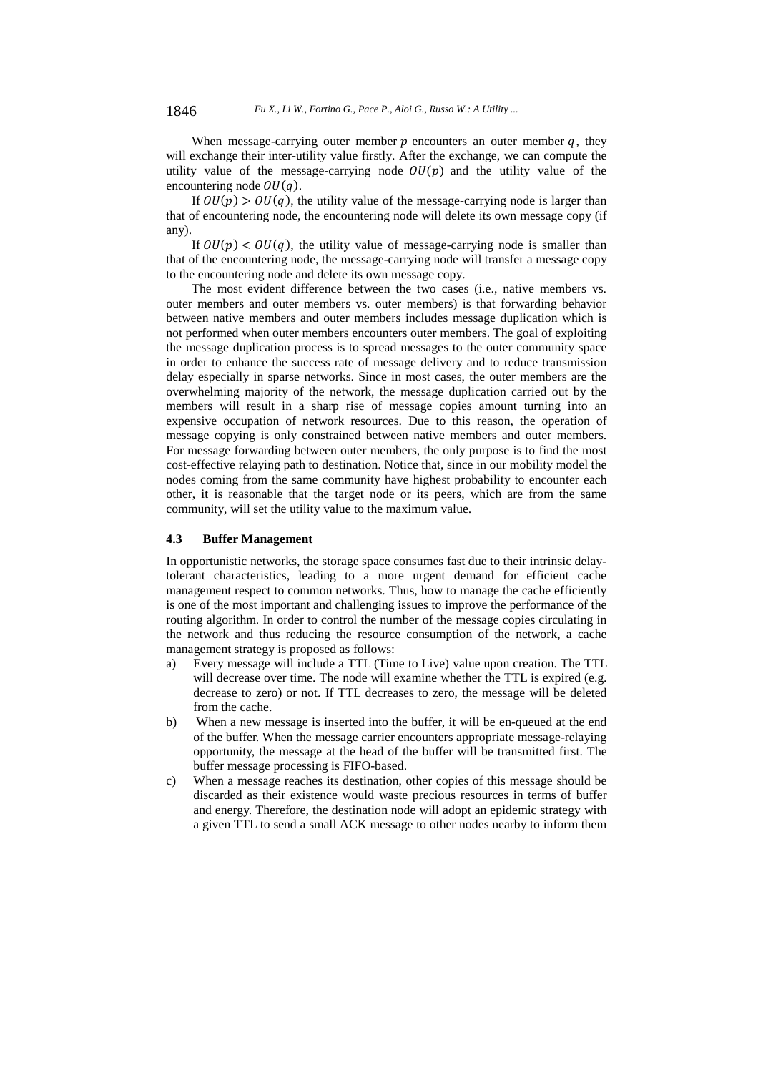When message-carrying outer member  $p$  encounters an outer member  $q$ , they will exchange their inter-utility value firstly. After the exchange, we can compute the utility value of the message-carrying node  $OU(p)$  and the utility value of the encountering node  $OU(q)$ .

If  $OU(p) > OU(q)$ , the utility value of the message-carrying node is larger than that of encountering node, the encountering node will delete its own message copy (if any).

If  $OU(p) < OU(q)$ , the utility value of message-carrying node is smaller than that of the encountering node, the message-carrying node will transfer a message copy to the encountering node and delete its own message copy.

The most evident difference between the two cases (i.e., native members vs. outer members and outer members vs. outer members) is that forwarding behavior between native members and outer members includes message duplication which is not performed when outer members encounters outer members. The goal of exploiting the message duplication process is to spread messages to the outer community space in order to enhance the success rate of message delivery and to reduce transmission delay especially in sparse networks. Since in most cases, the outer members are the overwhelming majority of the network, the message duplication carried out by the members will result in a sharp rise of message copies amount turning into an expensive occupation of network resources. Due to this reason, the operation of message copying is only constrained between native members and outer members. For message forwarding between outer members, the only purpose is to find the most cost-effective relaying path to destination. Notice that, since in our mobility model the nodes coming from the same community have highest probability to encounter each other, it is reasonable that the target node or its peers, which are from the same community, will set the utility value to the maximum value.

#### **4.3 Buffer Management**

In opportunistic networks, the storage space consumes fast due to their intrinsic delaytolerant characteristics, leading to a more urgent demand for efficient cache management respect to common networks. Thus, how to manage the cache efficiently is one of the most important and challenging issues to improve the performance of the routing algorithm. In order to control the number of the message copies circulating in the network and thus reducing the resource consumption of the network, a cache management strategy is proposed as follows:

- a) Every message will include a TTL (Time to Live) value upon creation. The TTL will decrease over time. The node will examine whether the TTL is expired (e.g. decrease to zero) or not. If TTL decreases to zero, the message will be deleted from the cache.
- b) When a new message is inserted into the buffer, it will be en-queued at the end of the buffer. When the message carrier encounters appropriate message-relaying opportunity, the message at the head of the buffer will be transmitted first. The buffer message processing is FIFO-based.
- c) When a message reaches its destination, other copies of this message should be discarded as their existence would waste precious resources in terms of buffer and energy. Therefore, the destination node will adopt an epidemic strategy with a given TTL to send a small ACK message to other nodes nearby to inform them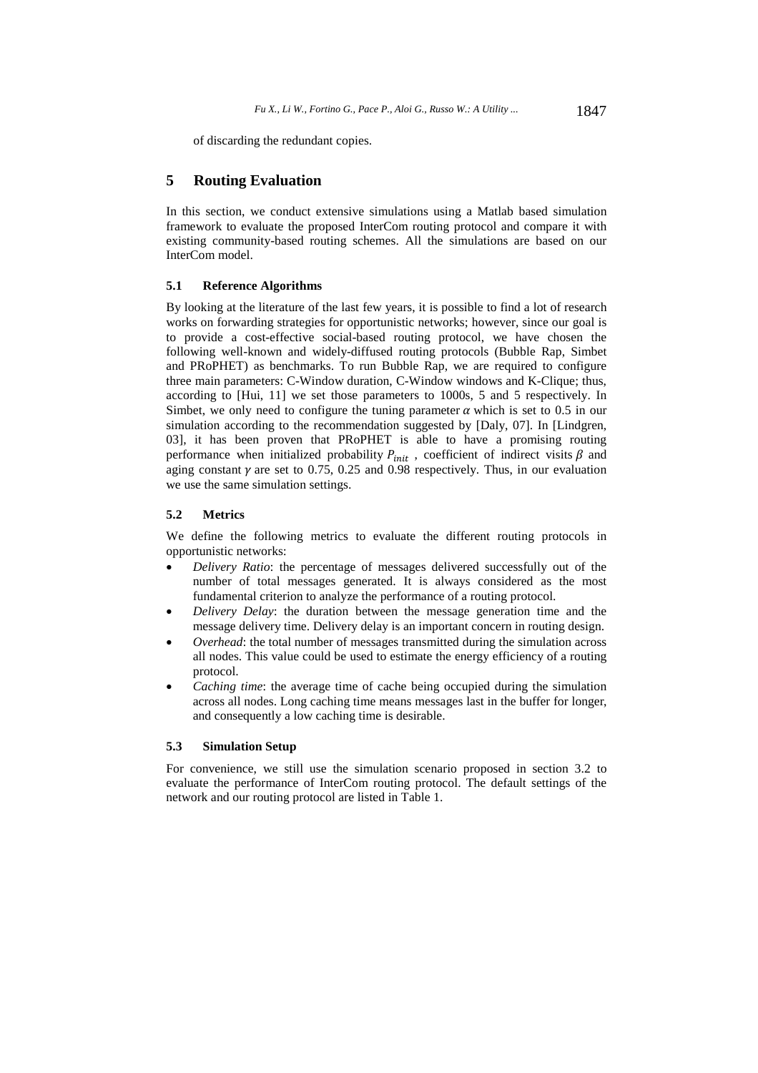of discarding the redundant copies.

# **5 Routing Evaluation**

In this section, we conduct extensive simulations using a Matlab based simulation framework to evaluate the proposed InterCom routing protocol and compare it with existing community-based routing schemes. All the simulations are based on our InterCom model.

#### **5.1 Reference Algorithms**

By looking at the literature of the last few years, it is possible to find a lot of research works on forwarding strategies for opportunistic networks; however, since our goal is to provide a cost-effective social-based routing protocol, we have chosen the following well-known and widely-diffused routing protocols (Bubble Rap, Simbet and PRoPHET) as benchmarks. To run Bubble Rap, we are required to configure three main parameters: C-Window duration, C-Window windows and K-Clique; thus, according to [Hui, 11] we set those parameters to 1000s, 5 and 5 respectively. In Simbet, we only need to configure the tuning parameter  $\alpha$  which is set to 0.5 in our simulation according to the recommendation suggested by [Daly, 07]. In [Lindgren, 03], it has been proven that PRoPHET is able to have a promising routing performance when initialized probability  $P_{init}$ , coefficient of indirect visits  $\beta$  and aging constant  $\gamma$  are set to 0.75, 0.25 and 0.98 respectively. Thus, in our evaluation we use the same simulation settings.

#### **5.2 Metrics**

We define the following metrics to evaluate the different routing protocols in opportunistic networks:

- *Delivery Ratio*: the percentage of messages delivered successfully out of the number of total messages generated. It is always considered as the most fundamental criterion to analyze the performance of a routing protocol.
- *Delivery Delay*: the duration between the message generation time and the message delivery time. Delivery delay is an important concern in routing design.
- *Overhead*: the total number of messages transmitted during the simulation across all nodes. This value could be used to estimate the energy efficiency of a routing protocol.
- *Caching time*: the average time of cache being occupied during the simulation across all nodes. Long caching time means messages last in the buffer for longer, and consequently a low caching time is desirable.

#### **5.3 Simulation Setup**

For convenience, we still use the simulation scenario proposed in section 3.2 to evaluate the performance of InterCom routing protocol. The default settings of the network and our routing protocol are listed in Table 1.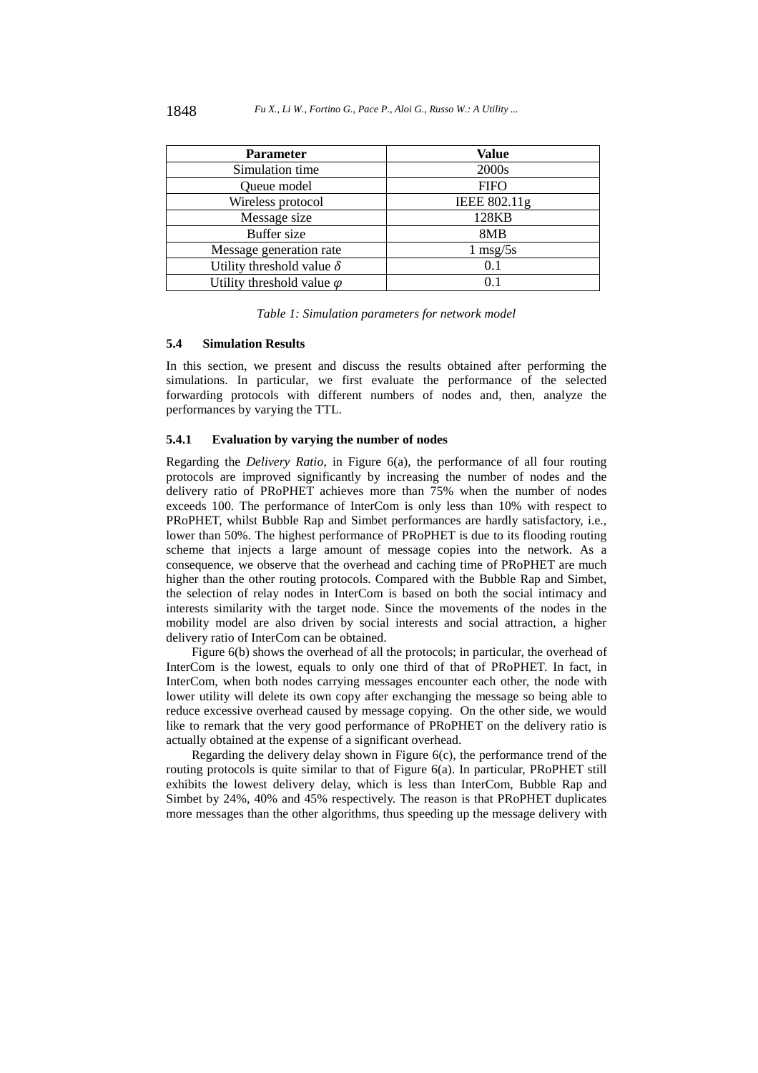| <b>Parameter</b>                  | <b>Value</b>       |
|-----------------------------------|--------------------|
| Simulation time                   | 2000s              |
| Queue model                       | <b>FIFO</b>        |
| Wireless protocol                 | IEEE 802.11g       |
| Message size                      | 128KB              |
| <b>Buffer</b> size                | 8MB                |
| Message generation rate           | $1 \text{ msg}/5s$ |
| Utility threshold value $\delta$  | 0.1                |
| Utility threshold value $\varphi$ | 01                 |

*Table 1: Simulation parameters for network model* 

#### **5.4 Simulation Results**

In this section, we present and discuss the results obtained after performing the simulations. In particular, we first evaluate the performance of the selected forwarding protocols with different numbers of nodes and, then, analyze the performances by varying the TTL.

# **5.4.1 Evaluation by varying the number of nodes**

Regarding the *Delivery Ratio*, in Figure 6(a), the performance of all four routing protocols are improved significantly by increasing the number of nodes and the delivery ratio of PRoPHET achieves more than 75% when the number of nodes exceeds 100. The performance of InterCom is only less than 10% with respect to PRoPHET, whilst Bubble Rap and Simbet performances are hardly satisfactory, i.e., lower than 50%. The highest performance of PRoPHET is due to its flooding routing scheme that injects a large amount of message copies into the network. As a consequence, we observe that the overhead and caching time of PRoPHET are much higher than the other routing protocols. Compared with the Bubble Rap and Simbet, the selection of relay nodes in InterCom is based on both the social intimacy and interests similarity with the target node. Since the movements of the nodes in the mobility model are also driven by social interests and social attraction, a higher delivery ratio of InterCom can be obtained.

Figure 6(b) shows the overhead of all the protocols; in particular, the overhead of InterCom is the lowest, equals to only one third of that of PRoPHET. In fact, in InterCom, when both nodes carrying messages encounter each other, the node with lower utility will delete its own copy after exchanging the message so being able to reduce excessive overhead caused by message copying. On the other side, we would like to remark that the very good performance of PRoPHET on the delivery ratio is actually obtained at the expense of a significant overhead.

Regarding the delivery delay shown in Figure 6(c), the performance trend of the routing protocols is quite similar to that of Figure 6(a). In particular, PRoPHET still exhibits the lowest delivery delay, which is less than InterCom, Bubble Rap and Simbet by 24%, 40% and 45% respectively. The reason is that PRoPHET duplicates more messages than the other algorithms, thus speeding up the message delivery with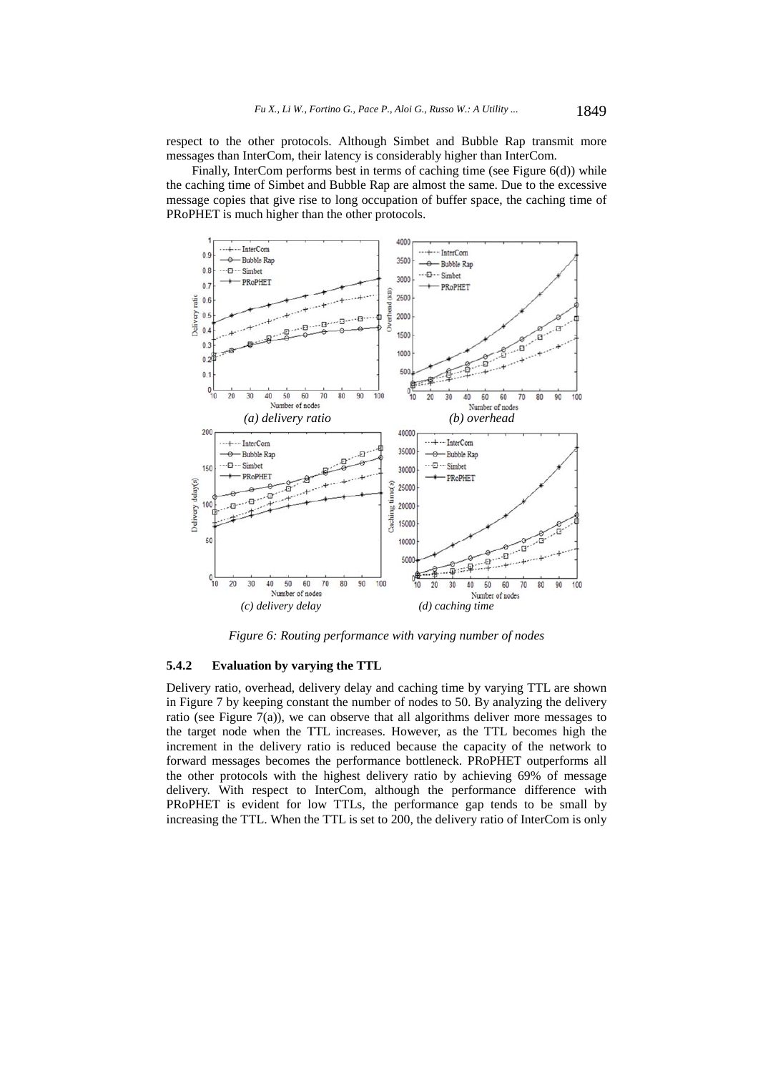respect to the other protocols. Although Simbet and Bubble Rap transmit more messages than InterCom, their latency is considerably higher than InterCom.

Finally, InterCom performs best in terms of caching time (see Figure  $6(d)$ ) while the caching time of Simbet and Bubble Rap are almost the same. Due to the excessive message copies that give rise to long occupation of buffer space, the caching time of PRoPHET is much higher than the other protocols.



*Figure 6: Routing performance with varying number of nodes* 

# **5.4.2 Evaluation by varying the TTL**

Delivery ratio, overhead, delivery delay and caching time by varying TTL are shown in Figure 7 by keeping constant the number of nodes to 50. By analyzing the delivery ratio (see Figure 7(a)), we can observe that all algorithms deliver more messages to the target node when the TTL increases. However, as the TTL becomes high the increment in the delivery ratio is reduced because the capacity of the network to forward messages becomes the performance bottleneck. PRoPHET outperforms all the other protocols with the highest delivery ratio by achieving 69% of message delivery. With respect to InterCom, although the performance difference with PRoPHET is evident for low TTLs, the performance gap tends to be small by increasing the TTL. When the TTL is set to 200, the delivery ratio of InterCom is only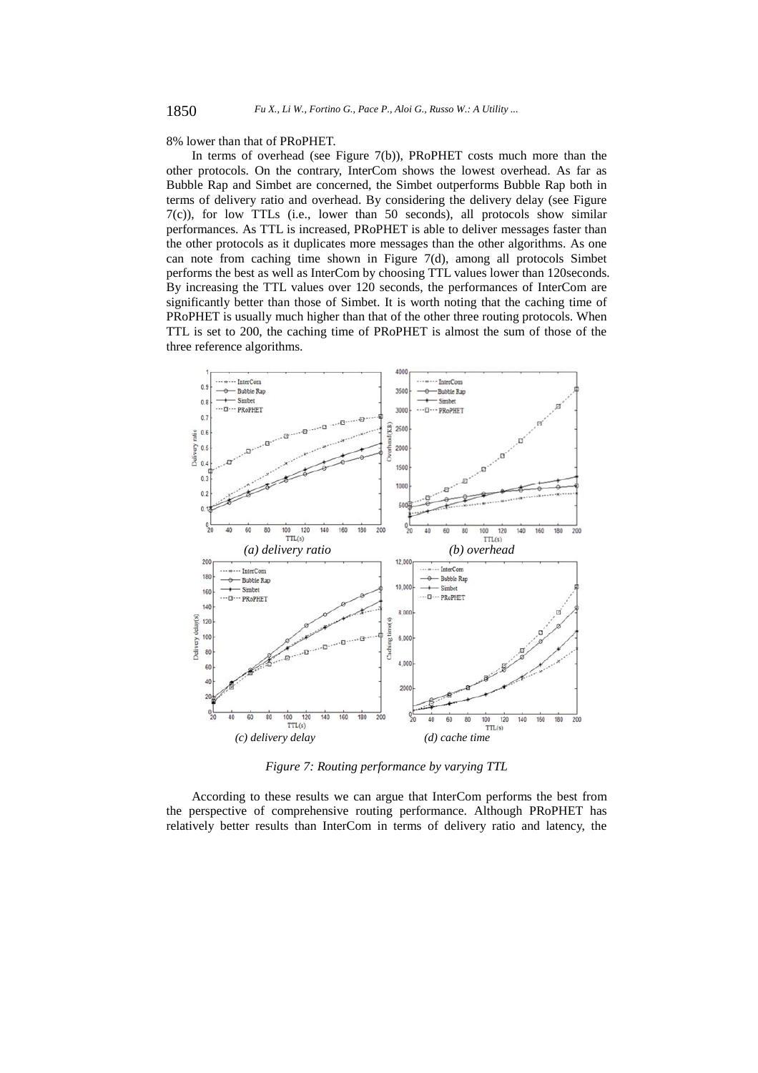8% lower than that of PRoPHET.

In terms of overhead (see Figure 7(b)), PRoPHET costs much more than the other protocols. On the contrary, InterCom shows the lowest overhead. As far as Bubble Rap and Simbet are concerned, the Simbet outperforms Bubble Rap both in terms of delivery ratio and overhead. By considering the delivery delay (see Figure 7(c)), for low TTLs (i.e., lower than 50 seconds), all protocols show similar performances. As TTL is increased, PRoPHET is able to deliver messages faster than the other protocols as it duplicates more messages than the other algorithms. As one can note from caching time shown in Figure 7(d), among all protocols Simbet performs the best as well as InterCom by choosing TTL values lower than 120seconds. By increasing the TTL values over 120 seconds, the performances of InterCom are significantly better than those of Simbet. It is worth noting that the caching time of PRoPHET is usually much higher than that of the other three routing protocols. When TTL is set to 200, the caching time of PRoPHET is almost the sum of those of the three reference algorithms.



*Figure 7: Routing performance by varying TTL* 

According to these results we can argue that InterCom performs the best from the perspective of comprehensive routing performance. Although PRoPHET has relatively better results than InterCom in terms of delivery ratio and latency, the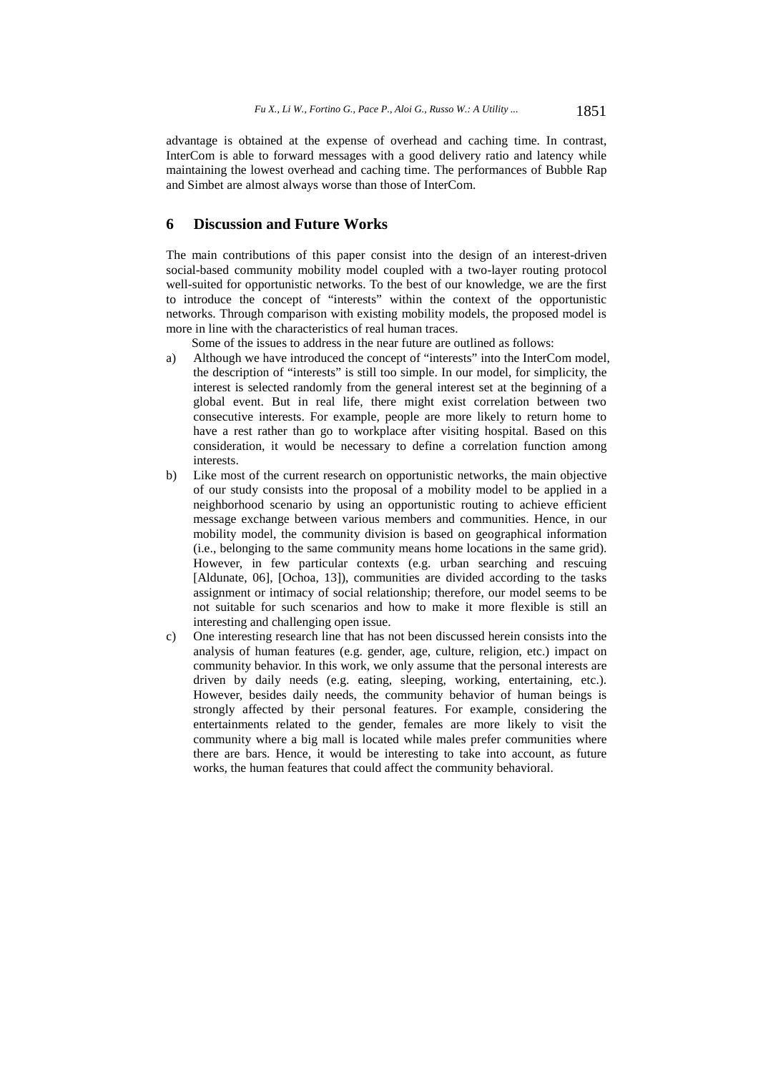advantage is obtained at the expense of overhead and caching time. In contrast, InterCom is able to forward messages with a good delivery ratio and latency while maintaining the lowest overhead and caching time. The performances of Bubble Rap and Simbet are almost always worse than those of InterCom.

# **6 Discussion and Future Works**

The main contributions of this paper consist into the design of an interest-driven social-based community mobility model coupled with a two-layer routing protocol well-suited for opportunistic networks. To the best of our knowledge, we are the first to introduce the concept of "interests" within the context of the opportunistic networks. Through comparison with existing mobility models, the proposed model is more in line with the characteristics of real human traces.

Some of the issues to address in the near future are outlined as follows:

- a) Although we have introduced the concept of "interests" into the InterCom model, the description of "interests" is still too simple. In our model, for simplicity, the interest is selected randomly from the general interest set at the beginning of a global event. But in real life, there might exist correlation between two consecutive interests. For example, people are more likely to return home to have a rest rather than go to workplace after visiting hospital. Based on this consideration, it would be necessary to define a correlation function among interests.
- b) Like most of the current research on opportunistic networks, the main objective of our study consists into the proposal of a mobility model to be applied in a neighborhood scenario by using an opportunistic routing to achieve efficient message exchange between various members and communities. Hence, in our mobility model, the community division is based on geographical information (i.e., belonging to the same community means home locations in the same grid). However, in few particular contexts (e.g. urban searching and rescuing [Aldunate, 06], [Ochoa, 13]), communities are divided according to the tasks assignment or intimacy of social relationship; therefore, our model seems to be not suitable for such scenarios and how to make it more flexible is still an interesting and challenging open issue.
- c) One interesting research line that has not been discussed herein consists into the analysis of human features (e.g. gender, age, culture, religion, etc.) impact on community behavior. In this work, we only assume that the personal interests are driven by daily needs (e.g. eating, sleeping, working, entertaining, etc.). However, besides daily needs, the community behavior of human beings is strongly affected by their personal features. For example, considering the entertainments related to the gender, females are more likely to visit the community where a big mall is located while males prefer communities where there are bars. Hence, it would be interesting to take into account, as future works, the human features that could affect the community behavioral.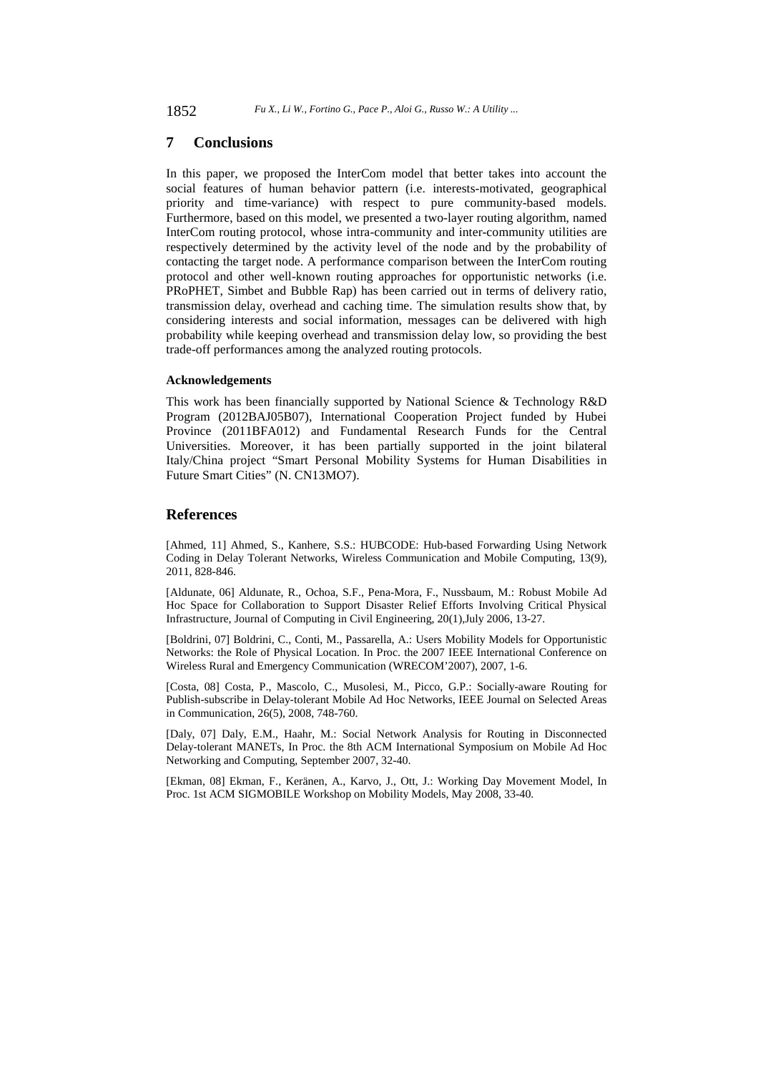### **7 Conclusions**

In this paper, we proposed the InterCom model that better takes into account the social features of human behavior pattern (i.e. interests-motivated, geographical priority and time-variance) with respect to pure community-based models. Furthermore, based on this model, we presented a two-layer routing algorithm, named InterCom routing protocol, whose intra-community and inter-community utilities are respectively determined by the activity level of the node and by the probability of contacting the target node. A performance comparison between the InterCom routing protocol and other well-known routing approaches for opportunistic networks (i.e. PRoPHET, Simbet and Bubble Rap) has been carried out in terms of delivery ratio, transmission delay, overhead and caching time. The simulation results show that, by considering interests and social information, messages can be delivered with high probability while keeping overhead and transmission delay low, so providing the best trade-off performances among the analyzed routing protocols.

#### **Acknowledgements**

This work has been financially supported by National Science & Technology R&D Program (2012BAJ05B07), International Cooperation Project funded by Hubei Province (2011BFA012) and Fundamental Research Funds for the Central Universities. Moreover, it has been partially supported in the joint bilateral Italy/China project "Smart Personal Mobility Systems for Human Disabilities in Future Smart Cities" (N. CN13MO7).

### **References**

[Ahmed, 11] Ahmed, S., Kanhere, S.S.: HUBCODE: Hub-based Forwarding Using Network Coding in Delay Tolerant Networks, Wireless Communication and Mobile Computing, 13(9), 2011, 828-846.

[Aldunate, 06] Aldunate, R., Ochoa, S.F., Pena-Mora, F., Nussbaum, M.: Robust Mobile Ad Hoc Space for Collaboration to Support Disaster Relief Efforts Involving Critical Physical Infrastructure, Journal of Computing in Civil Engineering, 20(1),July 2006, 13-27.

[Boldrini, 07] Boldrini, C., Conti, M., Passarella, A.: Users Mobility Models for Opportunistic Networks: the Role of Physical Location. In Proc. the 2007 IEEE International Conference on Wireless Rural and Emergency Communication (WRECOM'2007), 2007, 1-6.

[Costa, 08] Costa, P., Mascolo, C., Musolesi, M., Picco, G.P.: Socially-aware Routing for Publish-subscribe in Delay-tolerant Mobile Ad Hoc Networks, IEEE Journal on Selected Areas in Communication, 26(5), 2008, 748-760.

[Daly, 07] Daly, E.M., Haahr, M.: Social Network Analysis for Routing in Disconnected Delay-tolerant MANETs, In Proc. the 8th ACM International Symposium on Mobile Ad Hoc Networking and Computing, September 2007, 32-40.

[Ekman, 08] Ekman, F., Keränen, A., Karvo, J., Ott, J.: Working Day Movement Model, In Proc. 1st ACM SIGMOBILE Workshop on Mobility Models, May 2008, 33-40.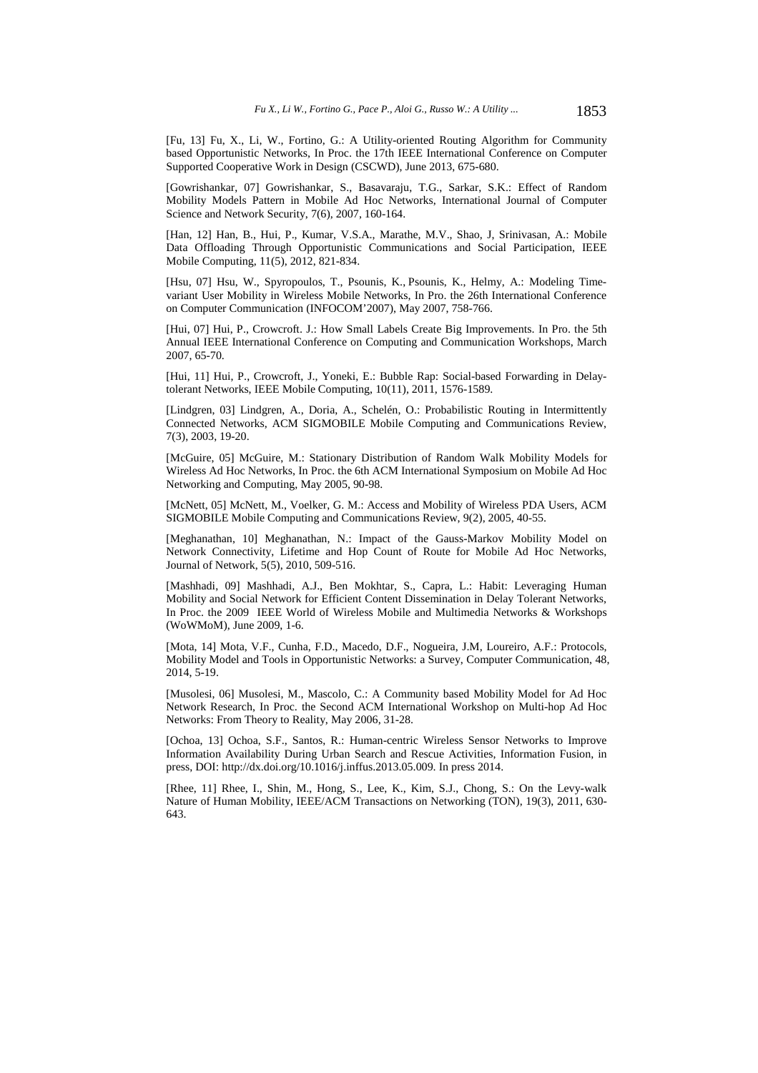[Fu, 13] Fu, X., Li, W., Fortino, G.: A Utility-oriented Routing Algorithm for Community based Opportunistic Networks, In Proc. the 17th IEEE International Conference on Computer Supported Cooperative Work in Design (CSCWD), June 2013, 675-680.

[Gowrishankar, 07] Gowrishankar, S., Basavaraju, T.G., Sarkar, S.K.: Effect of Random Mobility Models Pattern in Mobile Ad Hoc Networks, International Journal of Computer Science and Network Security, 7(6), 2007, 160-164.

[Han, 12] Han, B., Hui, P., Kumar, V.S.A., Marathe, M.V., Shao, J, Srinivasan, A.: Mobile Data Offloading Through Opportunistic Communications and Social Participation, IEEE Mobile Computing, 11(5), 2012, 821-834.

[Hsu, 07] Hsu, W., Spyropoulos, T., Psounis, K., Psounis, K., Helmy, A.: Modeling Timevariant User Mobility in Wireless Mobile Networks, In Pro. the 26th International Conference on Computer Communication (INFOCOM'2007), May 2007, 758-766.

[Hui, 07] Hui, P., Crowcroft. J.: How Small Labels Create Big Improvements. In Pro. the 5th Annual IEEE International Conference on Computing and Communication Workshops, March 2007, 65-70.

[Hui, 11] Hui, P., Crowcroft, J., Yoneki, E.: Bubble Rap: Social-based Forwarding in Delaytolerant Networks, IEEE Mobile Computing, 10(11), 2011, 1576-1589.

[Lindgren, 03] Lindgren, A., Doria, A., Schelén, O.: Probabilistic Routing in Intermittently Connected Networks, ACM SIGMOBILE Mobile Computing and Communications Review, 7(3), 2003, 19-20.

[McGuire, 05] McGuire, M.: Stationary Distribution of Random Walk Mobility Models for Wireless Ad Hoc Networks, In Proc. the 6th ACM International Symposium on Mobile Ad Hoc Networking and Computing, May 2005, 90-98.

[McNett, 05] McNett, M., Voelker, G. M.: Access and Mobility of Wireless PDA Users, ACM SIGMOBILE Mobile Computing and Communications Review, 9(2), 2005, 40-55.

[Meghanathan, 10] Meghanathan, N.: Impact of the Gauss-Markov Mobility Model on Network Connectivity, Lifetime and Hop Count of Route for Mobile Ad Hoc Networks, Journal of Network, 5(5), 2010, 509-516.

[Mashhadi, 09] Mashhadi, A.J., Ben Mokhtar, S., Capra, L.: Habit: Leveraging Human Mobility and Social Network for Efficient Content Dissemination in Delay Tolerant Networks, In Proc. the 2009 IEEE World of Wireless Mobile and Multimedia Networks & Workshops (WoWMoM), June 2009, 1-6.

[Mota, 14] Mota, V.F., Cunha, F.D., Macedo, D.F., Nogueira, J.M, Loureiro, A.F.: Protocols, Mobility Model and Tools in Opportunistic Networks: a Survey, Computer Communication, 48, 2014, 5-19.

[Musolesi, 06] Musolesi, M., Mascolo, C.: A Community based Mobility Model for Ad Hoc Network Research, In Proc. the Second ACM International Workshop on Multi-hop Ad Hoc Networks: From Theory to Reality, May 2006, 31-28.

[Ochoa, 13] Ochoa, S.F., Santos, R.: Human-centric Wireless Sensor Networks to Improve Information Availability During Urban Search and Rescue Activities, Information Fusion, in press, DOI: http://dx.doi.org/10.1016/j.inffus.2013.05.009. In press 2014.

[Rhee, 11] Rhee, I., Shin, M., Hong, S., Lee, K., Kim, S.J., Chong, S.: On the Levy-walk Nature of Human Mobility, IEEE/ACM Transactions on Networking (TON), 19(3), 2011, 630- 643.